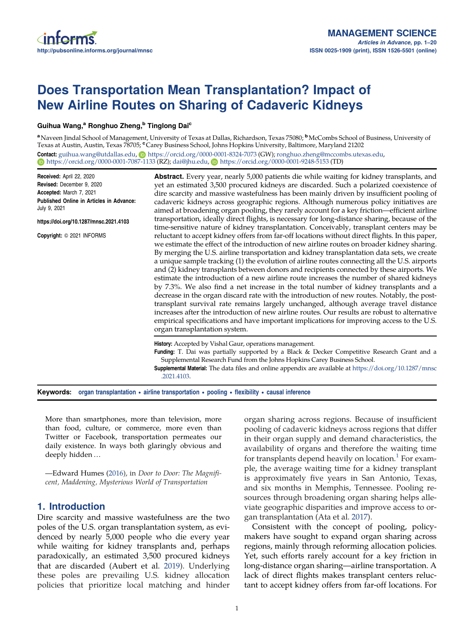# Does Transportation Mean Transplantation? Impact of New Airline Routes on Sharing of Cadaveric Kidneys

### Guihua Wang,<sup>a</sup> Ronghuo Zheng,<sup>b</sup> Tinglong Dai<sup>c</sup>

a Naveen Jindal School of Management, University of Texas at Dallas, Richardson, Texas 75080; <sup>b</sup>McCombs School of Business, University of Texas at Austin, Austin, Texas 78705; Carey Business School, Johns Hopkins University, Baltimore, Maryland 21202 Contact: [guihua.wang@utdallas.edu](mailto:guihua.wang@utdallas.edu), <https://orcid.org/0000-0001-8324-7073> (GW); [ronghuo.zheng@mccombs.utexas.edu](mailto:ronghuo.zheng@mccombs.utexas.edu), **b** <https://orcid.org/0000-0001-7087-1133> (RZ); [dai@jhu.edu](mailto:dai@jhu.edu), **b** <https://orcid.org/0000-0001-9248-5153> (TD)

Received: April 22, 2020 Revised: December 9, 2020 Accepted: March 7, 2021 Published Online in Articles in Advance: July 9, 2021 https://doi.org/10.1287/mnsc.2021.4103 Copyright: © 2021 INFORMS Abstract. Every year, nearly 5,000 patients die while waiting for kidney transplants, and yet an estimated 3,500 procured kidneys are discarded. Such a polarized coexistence of dire scarcity and massive wastefulness has been mainly driven by insufficient pooling of cadaveric kidneys across geographic regions. Although numerous policy initiatives are aimed at broadening organ pooling, they rarely account for a key friction—efficient airline transportation, ideally direct flights, is necessary for long-distance sharing, because of the time-sensitive nature of kidney transplantation. Conceivably, transplant centers may be reluctant to accept kidney offers from far-off locations without direct flights. In this paper, we estimate the effect of the introduction of new airline routes on broader kidney sharing. By merging the U.S. airline transportation and kidney transplantation data sets, we create a unique sample tracking (1) the evolution of airline routes connecting all the U.S. airports and (2) kidney transplants between donors and recipients connected by these airports. We estimate the introduction of a new airline route increases the number of shared kidneys by 7.3%. We also find a net increase in the total number of kidney transplants and a decrease in the organ discard rate with the introduction of new routes. Notably, the posttransplant survival rate remains largely unchanged, although average travel distance increases after the introduction of new airline routes. Our results are robust to alternative empirical specifications and have important implications for improving access to the U.S. organ transplantation system. History: Accepted by Vishal Gaur, operations management. Funding: T. Dai was partially supported by a Black & Decker Competitive Research Grant and a Supplemental Research Fund from the Johns Hopkins Carey Business School. Supplemental Material: The data files and online appendix are available at [https://doi.org/10.1287/mnsc](https://doi.org/10.1287/mnsc.2021.4103) [.2021.4103.](https://doi.org/10.1287/mnsc.2021.4103)

Keywords: organ transplantation • airline transportation • pooling • flexibility • causal inference

More than smartphones, more than television, more than food, culture, or commerce, more even than Twitter or Facebook, transportation permeates our daily existence. In ways both glaringly obvious and deeply hidden…

—Edward Humes [\(2016](#page-18-0)), in *Door to Door: The Magnificent, Maddening, Mysterious World of Transportation*

# 1. Introduction

Dire scarcity and massive wastefulness are the two poles of the U.S. organ transplantation system, as evidenced by nearly 5,000 people who die every year while waiting for kidney transplants and, perhaps paradoxically, an estimated 3,500 procured kidneys that are discarded (Aubert et al. [2019](#page-18-0)). Underlying these poles are prevailing U.S. kidney allocation policies that prioritize local matching and hinder organ sharing across regions. Because of insufficient pooling of cadaveric kidneys across regions that differ in their organ supply and demand characteristics, the availability of organs and therefore the waiting time for transplants depend heavily on location.<sup>[1](#page-17-0)</sup> For example, the average waiting time for a kidney transplant is approximately five years in San Antonio, Texas, and six months in Memphis, Tennessee. Pooling resources through broadening organ sharing helps alleviate geographic disparities and improve access to organ transplantation (Ata et al. [2017\)](#page-18-0).

Consistent with the concept of pooling, policymakers have sought to expand organ sharing across regions, mainly through reforming allocation policies. Yet, such efforts rarely account for a key friction in long-distance organ sharing—airline transportation. A lack of direct flights makes transplant centers reluctant to accept kidney offers from far-off locations. For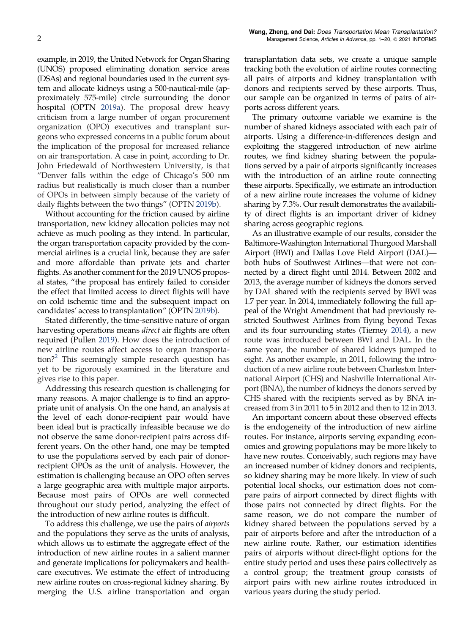example, in 2019, the United Network for Organ Sharing (UNOS) proposed eliminating donation service areas (DSAs) and regional boundaries used in the current system and allocate kidneys using a 500-nautical-mile (approximately 575-mile) circle surrounding the donor hospital (OPTN [2019a\)](#page-19-0). The proposal drew heavy criticism from a large number of organ procurement organization (OPO) executives and transplant surgeons who expressed concerns in a public forum about the implication of the proposal for increased reliance on air transportation. A case in point, according to Dr. John Friedewald of Northwestern University, is that "Denver falls within the edge of Chicago's 500 nm radius but realistically is much closer than a number of OPOs in between simply because of the variety of daily flights between the two things" (OPTN [2019b](#page-19-0)).

Without accounting for the friction caused by airline transportation, new kidney allocation policies may not achieve as much pooling as they intend. In particular, the organ transportation capacity provided by the commercial airlines is a crucial link, because they are safer and more affordable than private jets and charter flights. As another comment for the 2019 UNOS proposal states, "the proposal has entirely failed to consider the effect that limited access to direct flights will have on cold ischemic time and the subsequent impact on candidates' access to transplantation" (OPTN [2019b](#page-19-0)).

Stated differently, the time-sensitive nature of organ harvesting operations means *direct* air flights are often required (Pullen [2019\)](#page-19-0). How does the introduction of new airline routes affect access to organ transportation?[2](#page-17-0) This seemingly simple research question has yet to be rigorously examined in the literature and gives rise to this paper.

Addressing this research question is challenging for many reasons. A major challenge is to find an appropriate unit of analysis. On the one hand, an analysis at the level of each donor-recipient pair would have been ideal but is practically infeasible because we do not observe the same donor-recipient pairs across different years. On the other hand, one may be tempted to use the populations served by each pair of donorrecipient OPOs as the unit of analysis. However, the estimation is challenging because an OPO often serves a large geographic area with multiple major airports. Because most pairs of OPOs are well connected throughout our study period, analyzing the effect of the introduction of new airline routes is difficult.

To address this challenge, we use the pairs of *airports* and the populations they serve as the units of analysis, which allows us to estimate the aggregate effect of the introduction of new airline routes in a salient manner and generate implications for policymakers and healthcare executives. We estimate the effect of introducing new airline routes on cross-regional kidney sharing. By merging the U.S. airline transportation and organ

transplantation data sets, we create a unique sample tracking both the evolution of airline routes connecting all pairs of airports and kidney transplantation with donors and recipients served by these airports. Thus, our sample can be organized in terms of pairs of airports across different years.

The primary outcome variable we examine is the number of shared kidneys associated with each pair of airports. Using a difference-in-differences design and exploiting the staggered introduction of new airline routes, we find kidney sharing between the populations served by a pair of airports significantly increases with the introduction of an airline route connecting these airports. Specifically, we estimate an introduction of a new airline route increases the volume of kidney sharing by 7.3%. Our result demonstrates the availability of direct flights is an important driver of kidney sharing across geographic regions.

As an illustrative example of our results, consider the Baltimore-Washington International Thurgood Marshall Airport (BWI) and Dallas Love Field Airport (DAL) both hubs of Southwest Airlines—that were not connected by a direct flight until 2014. Between 2002 and 2013, the average number of kidneys the donors served by DAL shared with the recipients served by BWI was 1.7 per year. In 2014, immediately following the full appeal of the Wright Amendment that had previously restricted Southwest Airlines from flying beyond Texas and its four surrounding states (Tierney [2014](#page-19-0)), a new route was introduced between BWI and DAL. In the same year, the number of shared kidneys jumped to eight. As another example, in 2011, following the introduction of a new airline route between Charleston International Airport (CHS) and Nashville International Airport (BNA), the number of kidneys the donors served by CHS shared with the recipients served as by BNA increased from 3 in 2011 to 5 in 2012 and then to 12 in 2013.

An important concern about these observed effects is the endogeneity of the introduction of new airline routes. For instance, airports serving expanding economies and growing populations may be more likely to have new routes. Conceivably, such regions may have an increased number of kidney donors and recipients, so kidney sharing may be more likely. In view of such potential local shocks, our estimation does not compare pairs of airport connected by direct flights with those pairs not connected by direct flights. For the same reason, we do not compare the number of kidney shared between the populations served by a pair of airports before and after the introduction of a new airline route. Rather, our estimation identifies pairs of airports without direct-flight options for the entire study period and uses these pairs collectively as a control group; the treatment group consists of airport pairs with new airline routes introduced in various years during the study period.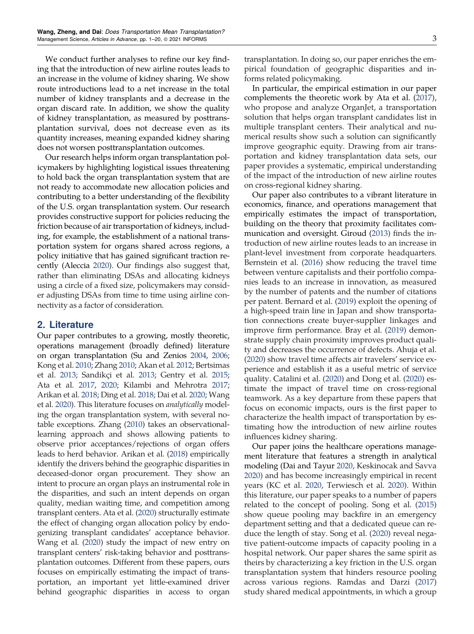We conduct further analyses to refine our key finding that the introduction of new airline routes leads to an increase in the volume of kidney sharing. We show route introductions lead to a net increase in the total number of kidney transplants and a decrease in the organ discard rate. In addition, we show the quality of kidney transplantation, as measured by posttransplantation survival, does not decrease even as its quantity increases, meaning expanded kidney sharing does not worsen posttransplantation outcomes.

Our research helps inform organ transplantation policymakers by highlighting logistical issues threatening to hold back the organ transplantation system that are not ready to accommodate new allocation policies and contributing to a better understanding of the flexibility of the U.S. organ transplantation system. Our research provides constructive support for policies reducing the friction because of air transportation of kidneys, including, for example, the establishment of a national transportation system for organs shared across regions, a policy initiative that has gained significant traction recently (Aleccia [2020\)](#page-18-0). Our findings also suggest that, rather than eliminating DSAs and allocating kidneys using a circle of a fixed size, policymakers may consider adjusting DSAs from time to time using airline connectivity as a factor of consideration.

# 2. Literature

Our paper contributes to a growing, mostly theoretic, operations management (broadly defined) literature on organ transplantation (Su and Zenios [2004,](#page-19-0) [2006;](#page-19-0) Kong et al. [2010](#page-18-0); Zhang [2010](#page-19-0); Akan et al. [2012](#page-18-0); Bertsimas et al. [2013](#page-18-0); Sandikçi et al. [2013;](#page-19-0) Gentry et al. [2015](#page-18-0); Ata et al. [2017,](#page-18-0) [2020](#page-18-0); Kilambi and Mehrotra [2017](#page-18-0); Arikan et al. [2018;](#page-18-0) Ding et al. [2018;](#page-18-0) Dai et al. [2020](#page-18-0); Wang et al. [2020\)](#page-19-0). This literature focuses on *analytically* modeling the organ transplantation system, with several notable exceptions. Zhang [\(2010\)](#page-19-0) takes an observationallearning approach and shows allowing patients to observe prior acceptances/rejections of organ offers leads to herd behavior. Arikan et al. [\(2018\)](#page-18-0) empirically identify the drivers behind the geographic disparities in deceased-donor organ procurement. They show an intent to procure an organ plays an instrumental role in the disparities, and such an intent depends on organ quality, median waiting time, and competition among transplant centers. Ata et al. ([2020\)](#page-18-0) structurally estimate the effect of changing organ allocation policy by endogenizing transplant candidates' acceptance behavior. Wang et al. ([2020](#page-19-0)) study the impact of new entry on transplant centers' risk-taking behavior and posttransplantation outcomes. Different from these papers, ours focuses on empirically estimating the impact of transportation, an important yet little-examined driver behind geographic disparities in access to organ

transplantation. In doing so, our paper enriches the empirical foundation of geographic disparities and informs related policymaking.

In particular, the empirical estimation in our paper complements the theoretic work by Ata et al. ([2017](#page-18-0)), who propose and analyze OrganJet, a transportation solution that helps organ transplant candidates list in multiple transplant centers. Their analytical and numerical results show such a solution can significantly improve geographic equity. Drawing from air transportation and kidney transplantation data sets, our paper provides a systematic, empirical understanding of the impact of the introduction of new airline routes on cross-regional kidney sharing.

Our paper also contributes to a vibrant literature in economics, finance, and operations management that empirically estimates the impact of transportation, building on the theory that proximity facilitates communication and oversight. Giroud [\(2013\)](#page-18-0) finds the introduction of new airline routes leads to an increase in plant-level investment from corporate headquarters. Bernstein et al. ([2016](#page-18-0)) show reducing the travel time between venture capitalists and their portfolio companies leads to an increase in innovation, as measured by the number of patents and the number of citations per patent. Bernard et al. ([2019](#page-18-0)) exploit the opening of a high-speed train line in Japan and show transportation connections create buyer-supplier linkages and improve firm performance. Bray et al. [\(2019](#page-18-0)) demonstrate supply chain proximity improves product quality and decreases the occurrence of defects. Ahuja et al. ([2020\)](#page-18-0) show travel time affects air travelers' service experience and establish it as a useful metric of service quality. Catalini et al. ([2020](#page-18-0)) and Dong et al. [\(2020\)](#page-18-0) estimate the impact of travel time on cross-regional teamwork. As a key departure from these papers that focus on economic impacts, ours is the first paper to characterize the health impact of transportation by estimating how the introduction of new airline routes influences kidney sharing.

Our paper joins the healthcare operations management literature that features a strength in analytical modeling (Dai and Tayur [2020](#page-18-0), Keskinocak and Savva [2020](#page-18-0)) and has become increasingly empirical in recent years (KC et al. [2020,](#page-18-0) Terwiesch et al. [2020\)](#page-19-0). Within this literature, our paper speaks to a number of papers related to the concept of pooling. Song et al. ([2015\)](#page-19-0) show queue pooling may backfire in an emergency department setting and that a dedicated queue can reduce the length of stay. Song et al. [\(2020\)](#page-19-0) reveal negative patient-outcome impacts of capacity pooling in a hospital network. Our paper shares the same spirit as theirs by characterizing a key friction in the U.S. organ transplantation system that hinders resource pooling across various regions. Ramdas and Darzi ([2017\)](#page-19-0) study shared medical appointments, in which a group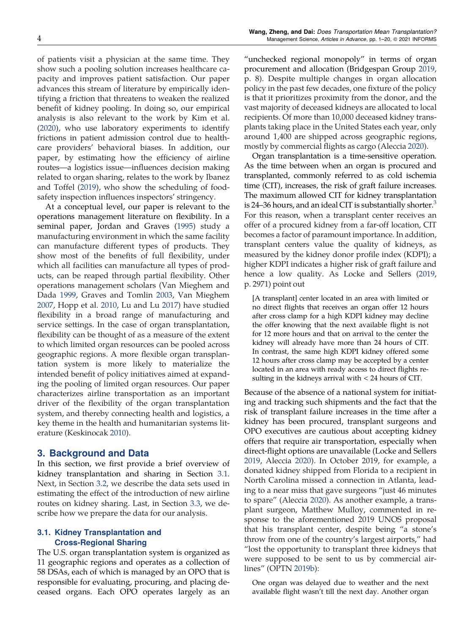<span id="page-3-0"></span>of patients visit a physician at the same time. They show such a pooling solution increases healthcare capacity and improves patient satisfaction. Our paper advances this stream of literature by empirically identifying a friction that threatens to weaken the realized benefit of kidney pooling. In doing so, our empirical analysis is also relevant to the work by Kim et al. [\(2020\)](#page-18-0), who use laboratory experiments to identify frictions in patient admission control due to healthcare providers' behavioral biases. In addition, our paper, by estimating how the efficiency of airline routes—a logistics issue—influences decision making related to organ sharing, relates to the work by Ibanez and Toffel [\(2019\)](#page-18-0), who show the scheduling of foodsafety inspection influences inspectors' stringency.

At a conceptual level, our paper is relevant to the operations management literature on flexibility. In a seminal paper, Jordan and Graves [\(1995](#page-18-0)) study a manufacturing environment in which the same facility can manufacture different types of products. They show most of the benefits of full flexibility, under which all facilities can manufacture all types of products, can be reaped through partial flexibility. Other operations management scholars (Van Mieghem and Dada [1999,](#page-19-0) Graves and Tomlin [2003,](#page-18-0) Van Mieghem [2007,](#page-19-0) Hopp et al. [2010](#page-18-0), Lu and Lu [2017\)](#page-18-0) have studied flexibility in a broad range of manufacturing and service settings. In the case of organ transplantation, flexibility can be thought of as a measure of the extent to which limited organ resources can be pooled across geographic regions. A more flexible organ transplantation system is more likely to materialize the intended benefit of policy initiatives aimed at expanding the pooling of limited organ resources. Our paper characterizes airline transportation as an important driver of the flexibility of the organ transplantation system, and thereby connecting health and logistics, a key theme in the health and humanitarian systems literature (Keskinocak [2010\)](#page-18-0).

#### 3. Background and Data

In this section, we first provide a brief overview of kidney transplantation and sharing in Section 3.1. Next, in Section [3.2](#page-4-0), we describe the data sets used in estimating the effect of the introduction of new airline routes on kidney sharing. Last, in Section [3.3](#page-4-0), we describe how we prepare the data for our analysis.

### 3.1. Kidney Transplantation and Cross-Regional Sharing

The U.S. organ transplantation system is organized as 11 geographic regions and operates as a collection of 58 DSAs, each of which is managed by an OPO that is responsible for evaluating, procuring, and placing deceased organs. Each OPO operates largely as an

"unchecked regional monopoly" in terms of organ procurement and allocation (Bridgespan Group [2019](#page-18-0), p. 8). Despite multiple changes in organ allocation policy in the past few decades, one fixture of the policy is that it prioritizes proximity from the donor, and the vast majority of deceased kidneys are allocated to local recipients. Of more than 10,000 deceased kidney transplants taking place in the United States each year, only around 1,400 are shipped across geographic regions, mostly by commercial flights as cargo (Aleccia [2020](#page-18-0)).

Organ transplantation is a time-sensitive operation. As the time between when an organ is procured and transplanted, commonly referred to as cold ischemia time (CIT), increases, the risk of graft failure increases. The maximum allowed CIT for kidney transplantation is 24–[3](#page-17-0)6 hours, and an ideal CIT is substantially shorter. $3$ For this reason, when a transplant center receives an offer of a procured kidney from a far-off location, CIT becomes a factor of paramount importance. In addition, transplant centers value the quality of kidneys, as measured by the kidney donor profile index (KDPI); a higher KDPI indicates a higher risk of graft failure and hence a low quality. As Locke and Sellers [\(2019](#page-18-0), p. 2971) point out

[A transplant] center located in an area with limited or no direct flights that receives an organ offer 12 hours after cross clamp for a high KDPI kidney may decline the offer knowing that the next available flight is not for 12 more hours and that on arrival to the center the kidney will already have more than 24 hours of CIT. In contrast, the same high KDPI kidney offered some 12 hours after cross clamp may be accepted by a center located in an area with ready access to direct flights resulting in the kidneys arrival with < 24 hours of CIT.

Because of the absence of a national system for initiating and tracking such shipments and the fact that the risk of transplant failure increases in the time after a kidney has been procured, transplant surgeons and OPO executives are cautious about accepting kidney offers that require air transportation, especially when direct-flight options are unavailable (Locke and Sellers [2019](#page-18-0), Aleccia [2020\)](#page-18-0). In October 2019, for example, a donated kidney shipped from Florida to a recipient in North Carolina missed a connection in Atlanta, leading to a near miss that gave surgeons "just 46 minutes to spare" (Aleccia [2020\)](#page-18-0). As another example, a transplant surgeon, Matthew Mulloy, commented in response to the aforementioned 2019 UNOS proposal that his transplant center, despite being "a stone's throw from one of the country's largest airports," had "lost the opportunity to transplant three kidneys that were supposed to be sent to us by commercial airlines" (OPTN [2019b](#page-19-0)):

One organ was delayed due to weather and the next available flight wasn't till the next day. Another organ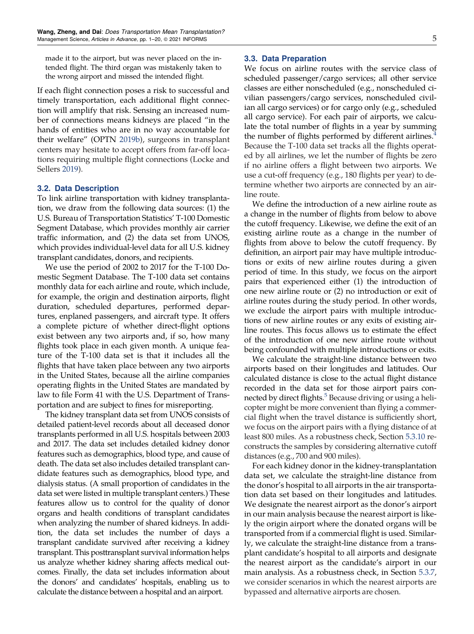<span id="page-4-0"></span>made it to the airport, but was never placed on the intended flight. The third organ was mistakenly taken to the wrong airport and missed the intended flight.

If each flight connection poses a risk to successful and timely transportation, each additional flight connection will amplify that risk. Sensing an increased number of connections means kidneys are placed "in the hands of entities who are in no way accountable for their welfare" (OPTN [2019b\)](#page-19-0), surgeons in transplant centers may hesitate to accept offers from far-off locations requiring multiple flight connections (Locke and Sellers [2019\)](#page-18-0).

#### 3.2. Data Description

To link airline transportation with kidney transplantation, we draw from the following data sources: (1) the U.S. Bureau of Transportation Statistics' T-100 Domestic Segment Database, which provides monthly air carrier traffic information, and (2) the data set from UNOS, which provides individual-level data for all U.S. kidney transplant candidates, donors, and recipients.

We use the period of 2002 to 2017 for the T-100 Domestic Segment Database. The T-100 data set contains monthly data for each airline and route, which include, for example, the origin and destination airports, flight duration, scheduled departures, performed departures, enplaned passengers, and aircraft type. It offers a complete picture of whether direct-flight options exist between any two airports and, if so, how many flights took place in each given month. A unique feature of the T-100 data set is that it includes all the flights that have taken place between any two airports in the United States, because all the airline companies operating flights in the United States are mandated by law to file Form 41 with the U.S. Department of Transportation and are subject to fines for misreporting.

The kidney transplant data set from UNOS consists of detailed patient-level records about all deceased donor transplants performed in all U.S. hospitals between 2003 and 2017. The data set includes detailed kidney donor features such as demographics, blood type, and cause of death. The data set also includes detailed transplant candidate features such as demographics, blood type, and dialysis status. (A small proportion of candidates in the data set were listed in multiple transplant centers.) These features allow us to control for the quality of donor organs and health conditions of transplant candidates when analyzing the number of shared kidneys. In addition, the data set includes the number of days a transplant candidate survived after receiving a kidney transplant. This posttransplant survival information helps us analyze whether kidney sharing affects medical outcomes. Finally, the data set includes information about the donors' and candidates' hospitals, enabling us to calculate the distance between a hospital and an airport.

#### 3.3. Data Preparation

We focus on airline routes with the service class of scheduled passenger/cargo services; all other service classes are either nonscheduled (e.g., nonscheduled civilian passengers/cargo services, nonscheduled civilian all cargo services) or for cargo only (e.g., scheduled all cargo service). For each pair of airports, we calculate the total number of flights in a year by summing the number of flights performed by different airlines. $\dot{\bar{\mathbf{z}}}$ Because the T-100 data set tracks all the flights operated by all airlines, we let the number of flights be zero if no airline offers a flight between two airports. We use a cut-off frequency (e.g., 180 flights per year) to determine whether two airports are connected by an airline route.

We define the introduction of a new airline route as a change in the number of flights from below to above the cutoff frequency. Likewise, we define the exit of an existing airline route as a change in the number of flights from above to below the cutoff frequency. By definition, an airport pair may have multiple introductions or exits of new airline routes during a given period of time. In this study, we focus on the airport pairs that experienced either (1) the introduction of one new airline route or (2) no introduction or exit of airline routes during the study period. In other words, we exclude the airport pairs with multiple introductions of new airline routes or any exits of existing airline routes. This focus allows us to estimate the effect of the introduction of one new airline route without being confounded with multiple introductions or exits.

We calculate the straight-line distance between two airports based on their longitudes and latitudes. Our calculated distance is close to the actual flight distance recorded in the data set for those airport pairs con-nected by direct flights.<sup>[5](#page-17-0)</sup> Because driving or using a helicopter might be more convenient than flying a commercial flight when the travel distance is sufficiently short, we focus on the airport pairs with a flying distance of at least 800 miles. As a robustness check, Section [5.3.10](#page-13-0) reconstructs the samples by considering alternative cutoff distances (e.g., 700 and 900 miles).

For each kidney donor in the kidney-transplantation data set, we calculate the straight-line distance from the donor's hospital to all airports in the air transportation data set based on their longitudes and latitudes. We designate the nearest airport as the donor's airport in our main analysis because the nearest airport is likely the origin airport where the donated organs will be transported from if a commercial flight is used. Similarly, we calculate the straight-line distance from a transplant candidate's hospital to all airports and designate the nearest airport as the candidate's airport in our main analysis. As a robustness check, in Section [5.3.7](#page-12-0), we consider scenarios in which the nearest airports are bypassed and alternative airports are chosen.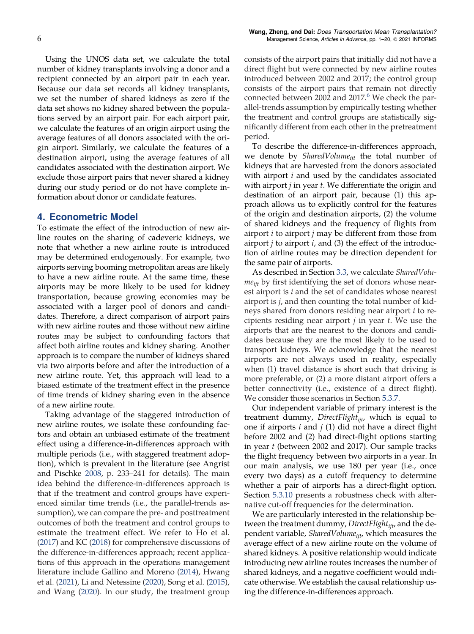Using the UNOS data set, we calculate the total number of kidney transplants involving a donor and a recipient connected by an airport pair in each year. Because our data set records all kidney transplants, we set the number of shared kidneys as zero if the data set shows no kidney shared between the populations served by an airport pair. For each airport pair, we calculate the features of an origin airport using the average features of all donors associated with the origin airport. Similarly, we calculate the features of a destination airport, using the average features of all candidates associated with the destination airport. We exclude those airport pairs that never shared a kidney during our study period or do not have complete information about donor or candidate features.

# 4. Econometric Model

To estimate the effect of the introduction of new airline routes on the sharing of cadeveric kidneys, we note that whether a new airline route is introduced may be determined endogenously. For example, two airports serving booming metropolitan areas are likely to have a new airline route. At the same time, these airports may be more likely to be used for kidney transportation, because growing economies may be associated with a larger pool of donors and candidates. Therefore, a direct comparison of airport pairs with new airline routes and those without new airline routes may be subject to confounding factors that affect both airline routes and kidney sharing. Another approach is to compare the number of kidneys shared via two airports before and after the introduction of a new airline route. Yet, this approach will lead to a biased estimate of the treatment effect in the presence of time trends of kidney sharing even in the absence of a new airline route.

Taking advantage of the staggered introduction of new airline routes, we isolate these confounding factors and obtain an unbiased estimate of the treatment effect using a difference-in-differences approach with multiple periods (i.e., with staggered treatment adoption), which is prevalent in the literature (see Angrist and Pischke [2008,](#page-18-0) p. 233–241 for details). The main idea behind the difference-in-differences approach is that if the treatment and control groups have experienced similar time trends (i.e., the parallel-trends assumption), we can compare the pre- and posttreatment outcomes of both the treatment and control groups to estimate the treatment effect. We refer to Ho et al. [\(2017\)](#page-18-0) and KC [\(2018](#page-18-0)) for comprehensive discussions of the difference-in-differences approach; recent applications of this approach in the operations management literature include Gallino and Moreno [\(2014\)](#page-18-0), Hwang et al. [\(2021](#page-18-0)), Li and Netessine [\(2020](#page-18-0)), Song et al. [\(2015\)](#page-19-0), and Wang [\(2020\)](#page-19-0). In our study, the treatment group consists of the airport pairs that initially did not have a direct flight but were connected by new airline routes introduced between 2002 and 2017; the control group consists of the airport pairs that remain not directly connected between 2002 and  $2017<sup>6</sup>$  $2017<sup>6</sup>$  $2017<sup>6</sup>$  We check the parallel-trends assumption by empirically testing whether the treatment and control groups are statistically significantly different from each other in the pretreatment period.

To describe the difference-in-differences approach, we denote by *SharedVolumeijt* the total number of kidneys that are harvested from the donors associated with airport *i* and used by the candidates associated with airport *j* in year *t*. We differentiate the origin and destination of an airport pair, because (1) this approach allows us to explicitly control for the features of the origin and destination airports, (2) the volume of shared kidneys and the frequency of flights from airport *i* to airport *j* may be different from those from airport *j* to airport *i*, and (3) the effect of the introduction of airline routes may be direction dependent for the same pair of airports.

As described in Section [3.3,](#page-4-0) we calculate *SharedVolumeijt* by first identifying the set of donors whose nearest airport is *i* and the set of candidates whose nearest airport is *j*, and then counting the total number of kidneys shared from donors residing near airport *i* to recipients residing near airport *j* in year *t*. We use the airports that are the nearest to the donors and candidates because they are the most likely to be used to transport kidneys. We acknowledge that the nearest airports are not always used in reality, especially when (1) travel distance is short such that driving is more preferable, or (2) a more distant airport offers a better connectivity (i.e., existence of a direct flight). We consider those scenarios in Section [5.3.7](#page-12-0).

Our independent variable of primary interest is the treatment dummy, *DirectFlightijt*, which is equal to one if airports *i* and *j* (1) did not have a direct flight before 2002 and (2) had direct-flight options starting in year *t* (between 2002 and 2017). Our sample tracks the flight frequency between two airports in a year. In our main analysis, we use 180 per year (i.e., once every two days) as a cutoff frequency to determine whether a pair of airports has a direct-flight option. Section [5.3.10](#page-13-0) presents a robustness check with alternative cut-off frequencies for the determination.

We are particularly interested in the relationship between the treatment dummy, *DirectFlightijt*, and the dependent variable, *SharedVolumeijt*, which measures the average effect of a new airline route on the volume of shared kidneys. A positive relationship would indicate introducing new airline routes increases the number of shared kidneys, and a negative coefficient would indicate otherwise. We establish the causal relationship using the difference-in-differences approach.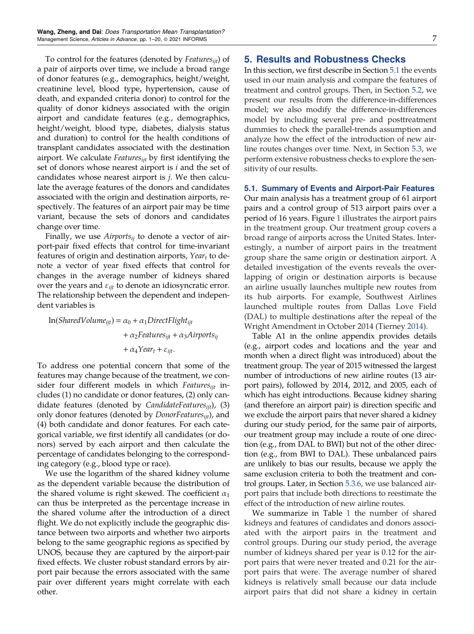<span id="page-6-0"></span>To control for the features (denoted by *Featuresijt*) of a pair of airports over time, we include a broad range of donor features (e.g., demographics, height/weight, creatinine level, blood type, hypertension, cause of death, and expanded criteria donor) to control for the quality of donor kidneys associated with the origin airport and candidate features (e.g., demographics, height/weight, blood type, diabetes, dialysis status and duration) to control for the health conditions of transplant candidates associated with the destination airport. We calculate *Featuresijt* by first identifying the set of donors whose nearest airport is *i* and the set of candidates whose nearest airport is *j*. We then calculate the average features of the donors and candidates associated with the origin and destination airports, respectively. The features of an airport pair may be time variant, because the sets of donors and candidates change over time.

Finally, we use *Airportsij* to denote a vector of airport-pair fixed effects that control for time-invariant features of origin and destination airports, *Year<sup>t</sup>* to denote a vector of year fixed effects that control for changes in the average number of kidneys shared over the years and ε*ijt* to denote an idiosyncratic error. The relationship between the dependent and independent variables is

 $ln(SharedVolume_{i} = \alpha_0 + \alpha_1 DirectFlight_{i}$  $+\alpha_2$ *Features*<sub>*ijt*</sub>  $+\alpha_3$ *Airports*<sub>*ij*</sub>  $+\alpha_4 \gamma_{\text{ear}_t} + \varepsilon_{\text{ij}t}$ .

To address one potential concern that some of the features may change because of the treatment, we consider four different models in which *Featuresijt* includes (1) no candidate or donor features, (2) only candidate features (denoted by *CandidateFeaturesijt*), (3) only donor features (denoted by *DonorFeaturesijt*), and (4) both candidate and donor features. For each categorical variable, we first identify all candidates (or donors) served by each airport and then calculate the percentage of candidates belonging to the corresponding category (e.g., blood type or race).

We use the logarithm of the shared kidney volume as the dependent variable because the distribution of the shared volume is right skewed. The coefficient  $\alpha_1$ can thus be interpreted as the percentage increase in the shared volume after the introduction of a direct flight. We do not explicitly include the geographic distance between two airports and whether two airports belong to the same geographic regions as specified by UNOS, because they are captured by the airport-pair fixed effects. We cluster robust standard errors by airport pair because the errors associated with the same pair over different years might correlate with each other.

# 5. Results and Robustness Checks

In this section, we first describe in Section 5.1 the events used in our main analysis and compare the features of treatment and control groups. Then, in Section [5.2,](#page-7-0) we present our results from the difference-in-differences model; we also modify the difference-in-differences model by including several pre- and posttreatment dummies to check the parallel-trends assumption and analyze how the effect of the introduction of new airline routes changes over time. Next, in Section [5.3](#page-9-0), we perform extensive robustness checks to explore the sensitivity of our results.

#### 5.1. Summary of Events and Airport-Pair Features

Our main analysis has a treatment group of 61 airport pairs and a control group of 513 airport pairs over a period of 16 years. Figure [1](#page-7-0) illustrates the airport pairs in the treatment group. Our treatment group covers a broad range of airports across the United States. Interestingly, a number of airport pairs in the treatment group share the same origin or destination airport. A detailed investigation of the events reveals the overlapping of origin or destination airports is because an airline usually launches multiple new routes from its hub airports. For example, Southwest Airlines launched multiple routes from Dallas Love Field (DAL) to multiple destinations after the repeal of the Wright Amendment in October 2014 (Tierney [2014](#page-19-0)).

Table A1 in the online appendix provides details (e.g., airport codes and locations and the year and month when a direct flight was introduced) about the treatment group. The year of 2015 witnessed the largest number of introductions of new airline routes (13 airport pairs), followed by 2014, 2012, and 2005, each of which has eight introductions. Because kidney sharing (and therefore an airport pair) is direction specific and we exclude the airport pairs that never shared a kidney during our study period, for the same pair of airports, our treatment group may include a route of one direction (e.g., from DAL to BWI) but not of the other direction (e.g., from BWI to DAL). These unbalanced pairs are unlikely to bias our results, because we apply the same exclusion criteria to both the treatment and control groups. Later, in Section [5.3.6](#page-12-0), we use balanced airport pairs that include both directions to reestimate the effect of the introduction of new airline routes.

We summarize in Table [1](#page-8-0) the number of shared kidneys and features of candidates and donors associated with the airport pairs in the treatment and control groups. During our study period, the average number of kidneys shared per year is 0.12 for the airport pairs that were never treated and 0.21 for the airport pairs that were. The average number of shared kidneys is relatively small because our data include airport pairs that did not share a kidney in certain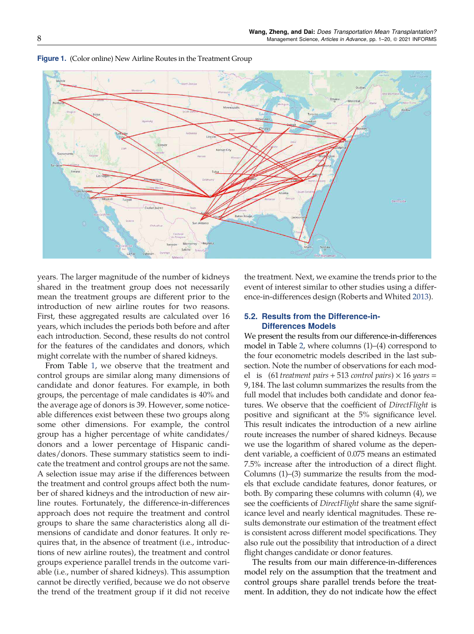

<span id="page-7-0"></span>Figure 1. (Color online) New Airline Routes in the Treatment Group

years. The larger magnitude of the number of kidneys shared in the treatment group does not necessarily mean the treatment groups are different prior to the introduction of new airline routes for two reasons. First, these aggregated results are calculated over 16 years, which includes the periods both before and after each introduction. Second, these results do not control for the features of the candidates and donors, which might correlate with the number of shared kidneys.

From Table [1](#page-8-0), we observe that the treatment and control groups are similar along many dimensions of candidate and donor features. For example, in both groups, the percentage of male candidates is 40% and the average age of donors is 39. However, some noticeable differences exist between these two groups along some other dimensions. For example, the control group has a higher percentage of white candidates/ donors and a lower percentage of Hispanic candidates/donors. These summary statistics seem to indicate the treatment and control groups are not the same. A selection issue may arise if the differences between the treatment and control groups affect both the number of shared kidneys and the introduction of new airline routes. Fortunately, the difference-in-differences approach does not require the treatment and control groups to share the same characteristics along all dimensions of candidate and donor features. It only requires that, in the absence of treatment (i.e., introductions of new airline routes), the treatment and control groups experience parallel trends in the outcome variable (i.e., number of shared kidneys). This assumption cannot be directly verified, because we do not observe the trend of the treatment group if it did not receive the treatment. Next, we examine the trends prior to the event of interest similar to other studies using a difference-in-differences design (Roberts and Whited [2013](#page-19-0)).

# 5.2. Results from the Difference-in-Differences Models

We present the results from our difference-in-differences model in Table [2](#page-9-0), where columns (1)–(4) correspond to the four econometric models described in the last subsection. Note the number of observations for each model is  $(61$  *treatment pairs* + 513 *control pairs*)  $\times$  16 *years* = 9, 184. The last column summarizes the results from the full model that includes both candidate and donor features. We observe that the coefficient of *DirectFlight* is positive and significant at the 5% significance level. This result indicates the introduction of a new airline route increases the number of shared kidneys. Because we use the logarithm of shared volume as the dependent variable, a coefficient of 0.075 means an estimated 7.5% increase after the introduction of a direct flight. Columns (1)–(3) summarize the results from the models that exclude candidate features, donor features, or both. By comparing these columns with column (4), we see the coefficients of *DirectFlight* share the same significance level and nearly identical magnitudes. These results demonstrate our estimation of the treatment effect is consistent across different model specifications. They also rule out the possibility that introduction of a direct flight changes candidate or donor features.

The results from our main difference-in-differences model rely on the assumption that the treatment and control groups share parallel trends before the treatment. In addition, they do not indicate how the effect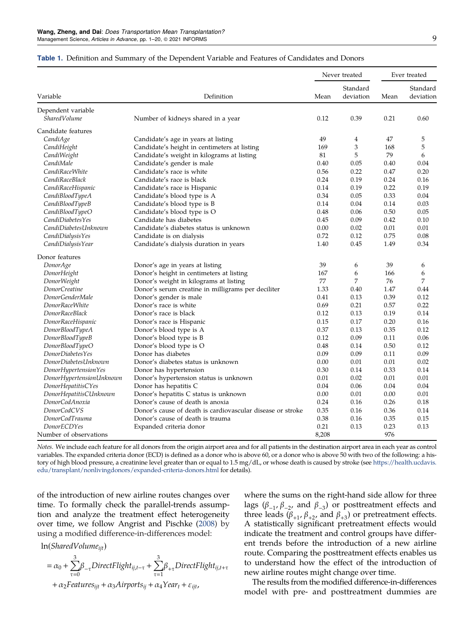|                          |                                                            | Never treated | Ever treated          |      |                       |
|--------------------------|------------------------------------------------------------|---------------|-----------------------|------|-----------------------|
| Variable                 | Definition                                                 | Mean          | Standard<br>deviation | Mean | Standard<br>deviation |
| Dependent variable       |                                                            |               |                       |      |                       |
| <b>SharedVolume</b>      | Number of kidneys shared in a year                         | 0.12          | 0.39                  | 0.21 | 0.60                  |
| Candidate features       |                                                            |               |                       |      |                       |
| CandiAge                 | Candidate's age in years at listing                        | 49            | 4                     | 47   | 5                     |
| CandiHeight              | Candidate's height in centimeters at listing               | 169           | 3                     | 168  | 5                     |
| CandiWeight              | Candidate's weight in kilograms at listing                 | 81            | 5                     | 79   | 6                     |
| CandiMale                | Candidate's gender is male                                 | 0.40          | 0.05                  | 0.40 | 0.04                  |
| CandiRaceWhite           | Candidate's race is white                                  | 0.56          | 0.22                  | 0.47 | 0.20                  |
| CandiRaceBlack           | Candidate's race is black                                  | 0.24          | 0.19                  | 0.24 | 0.16                  |
| CandiRaceHispanic        | Candidate's race is Hispanic                               | 0.14          | 0.19                  | 0.22 | 0.19                  |
| CandiBloodTypeA          | Candidate's blood type is A                                | 0.34          | 0.05                  | 0.33 | 0.04                  |
| CandiBloodTypeB          | Candidate's blood type is B                                | 0.14          | 0.04                  | 0.14 | 0.03                  |
| CandiBloodTypeO          | Candidate's blood type is O                                | 0.48          | 0.06                  | 0.50 | 0.05                  |
| CandiDiabetesYes         | Candidate has diabetes                                     | 0.45          | 0.09                  | 0.42 | 0.10                  |
| CandiDiabetesUnknown     | Candidate's diabetes status is unknown                     | 0.00          | 0.02                  | 0.01 | 0.01                  |
| CandiDialysisYes         | Candidate is on dialysis                                   | 0.72          | 0.12                  | 0.75 | 0.08                  |
| CandiDialysisYear        | Candidate's dialysis duration in years                     | 1.40          | 0.45                  | 1.49 | 0.34                  |
| Donor features           |                                                            |               |                       |      |                       |
| DonorAge                 | Donor's age in years at listing                            | 39            | 6                     | 39   | 6                     |
| DonorHeight              | Donor's height in centimeters at listing                   | 167           | 6                     | 166  | 6                     |
| <b>DonorWeight</b>       | Donor's weight in kilograms at listing                     | 77            | 7                     | 76   | 7                     |
| DonorCreatine            | Donor's serum creatine in milligrams per deciliter         | 1.33          | 0.40                  | 1.47 | 0.44                  |
| DonorGenderMale          | Donor's gender is male                                     | 0.41          | 0.13                  | 0.39 | 0.12                  |
| DonorRaceWhite           | Donor's race is white                                      | 0.69          | 0.21                  | 0.57 | 0.22                  |
| DonorRaceBlack           | Donor's race is black                                      | 0.12          | 0.13                  | 0.19 | 0.14                  |
| DonorRaceHispanic        | Donor's race is Hispanic                                   | 0.15          | 0.17                  | 0.20 | 0.16                  |
| DonorBloodTypeA          | Donor's blood type is A                                    | 0.37          | 0.13                  | 0.35 | 0.12                  |
| DonorBloodTypeB          | Donor's blood type is B                                    | 0.12          | 0.09                  | 0.11 | 0.06                  |
| DonorBloodTypeO          | Donor's blood type is O                                    | 0.48          | 0.14                  | 0.50 | 0.12                  |
| DonorDiabetesYes         | Donor has diabetes                                         | 0.09          | 0.09                  | 0.11 | 0.09                  |
| DonorDiabetesUnknown     | Donor's diabetes status is unknown                         | 0.00          | 0.01                  | 0.01 | 0.02                  |
| DonorHypertensionYes     | Donor has hypertension                                     | 0.30          | 0.14                  | 0.33 | 0.14                  |
| DonorHypertensionUnknown | Donor's hypertension status is unknown                     | 0.01          | 0.02                  | 0.01 | 0.01                  |
| DonorHepatitisCYes       | Donor has hepatitis C                                      | 0.04          | 0.06                  | 0.04 | 0.04                  |
| DonorHepatitisCUnknown   | Donor's hepatitis C status is unknown                      | 0.00          | 0.01                  | 0.00 | 0.01                  |
| DonorCodAnoxia           | Donor's cause of death is anoxia                           | 0.24          | 0.16                  | 0.26 | 0.18                  |
| <b>DonorCodCVS</b>       | Donor's cause of death is cardiovascular disease or stroke | 0.35          | 0.16                  | 0.36 | 0.14                  |
| DonorCodTrauma           | Donor's cause of death is trauma                           | 0.38          | 0.16                  | 0.35 | 0.15                  |
| <b>DonorECDYes</b>       | Expanded criteria donor                                    | 0.21          | 0.13                  | 0.23 | 0.13                  |
| Number of observations   |                                                            | 8,208         |                       | 976  |                       |

#### <span id="page-8-0"></span>Table 1. Definition and Summary of the Dependent Variable and Features of Candidates and Donors

*Notes.* We include each feature for all donors from the origin airport area and for all patients in the destination airport area in each year as control variables. The expanded criteria donor (ECD) is defined as a donor who is above 60, or a donor who is above 50 with two of the following: a history of high blood pressure, a creatinine level greater than or equal to 1.5 mg/dL, or whose death is caused by stroke (see [https://health.ucdavis.](https://health.ucdavis.edu/transplant/nonlivingdonors/expanded-criteria-donors.html) [edu/transplant/nonlivingdonors/expanded-criteria-donors.html](https://health.ucdavis.edu/transplant/nonlivingdonors/expanded-criteria-donors.html) for details).

of the introduction of new airline routes changes over time. To formally check the parallel-trends assumption and analyze the treatment effect heterogeneity over time, we follow Angrist and Pischke [\(2008\)](#page-18-0) by using a modified difference-in-differences model:

ln(*SharedVolumeijt*)

$$
= \alpha_0 + \sum_{\tau=0}^{3} \beta_{-\tau} Direct Flight_{ij,t-\tau} + \sum_{\tau=1}^{3} \beta_{+\tau} Direct Flight_{ij,t+\tau}
$$

 $+\alpha_2$ *Features*<sub>*ijt*</sub> +  $\alpha_3$ *Airports*<sub>*ij*</sub> +  $\alpha_4$ Year<sub>*t*</sub> +  $\varepsilon$ <sub>*ijt*</sub>,

where the sums on the right-hand side allow for three lags ( $\beta_{-1}, \beta_{-2}$ , and  $\beta_{-3}$ ) or posttreatment effects and three leads  $(\beta_{+1}, \beta_{+2}, \text{ and } \beta_{+3})$  or pretreatment effects. A statistically significant pretreatment effects would indicate the treatment and control groups have different trends before the introduction of a new airline route. Comparing the posttreatment effects enables us to understand how the effect of the introduction of new airline routes might change over time.

The results from the modified difference-in-differences model with pre- and posttreatment dummies are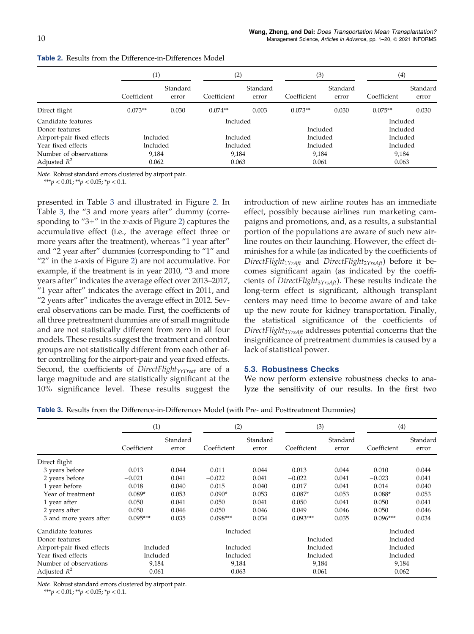|                                                                    | $_{(1)}$                   |                   | (2)                        |                   | (3)                        |                   | (4)                              |                   |
|--------------------------------------------------------------------|----------------------------|-------------------|----------------------------|-------------------|----------------------------|-------------------|----------------------------------|-------------------|
|                                                                    | Coefficient                | Standard<br>error | Coefficient                | Standard<br>error | Coefficient                | Standard<br>error | Coefficient                      | Standard<br>error |
| Direct flight                                                      | $0.073**$                  | 0.030             | $0.074**$                  | 0.003             | $0.073**$                  | 0.030             | $0.075**$                        | 0.030             |
| Candidate features<br>Donor features<br>Airport-pair fixed effects | Included                   |                   | Included<br>Included       |                   | Included<br>Included       |                   | Included<br>Included<br>Included |                   |
| Year fixed effects<br>Number of observations<br>Adjusted $R^2$     | Included<br>9.184<br>0.062 |                   | Included<br>9,184<br>0.063 |                   | Included<br>9.184<br>0.061 |                   | Included<br>9.184<br>0.063       |                   |

<span id="page-9-0"></span>Table 2. Results from the Difference-in-Differences Model

*Note.* Robust standard errors clustered by airport pair.

\*\*\**p* < 0.01; \*\**p* < 0.05; \**p* < 0.1.

presented in Table 3 and illustrated in Figure [2.](#page-10-0) In Table 3, the "3 and more years after" dummy (corresponding to "3+" in the *x*-axis of Figure [2](#page-10-0)) captures the accumulative effect (i.e., the average effect three or more years after the treatment), whereas "1 year after" and "2 year after" dummies (corresponding to "1" and "2" in the *x*-axis of Figure [2](#page-10-0)) are not accumulative. For example, if the treatment is in year 2010, "3 and more years after" indicates the average effect over 2013–2017, "1 year after" indicates the average effect in 2011, and "2 years after" indicates the average effect in 2012. Several observations can be made. First, the coefficients of all three pretreatment dummies are of small magnitude and are not statistically different from zero in all four models. These results suggest the treatment and control groups are not statistically different from each other after controlling for the airport-pair and year fixed effects. Second, the coefficients of *DirectFlightYrTreat* are of a large magnitude and are statistically significant at the 10% significance level. These results suggest the introduction of new airline routes has an immediate effect, possibly because airlines run marketing campaigns and promotions, and, as a results, a substantial portion of the populations are aware of such new airline routes on their launching. However, the effect diminishes for a while (as indicated by the coefficients of *DirectFlight*1*YrAft* and *DirectFlight*2*YrsAft*) before it becomes significant again (as indicated by the coefficients of *DirectFlight*3*YrsAft*). These results indicate the long-term effect is significant, although transplant centers may need time to become aware of and take up the new route for kidney transportation. Finally, the statistical significance of the coefficients of *DirectFlight*3*YrsAft* addresses potential concerns that the insignificance of pretreatment dummies is caused by a lack of statistical power.

#### 5.3. Robustness Checks

We now perform extensive robustness checks to analyze the sensitivity of our results. In the first two

Table 3. Results from the Difference-in-Differences Model (with Pre- and Posttreatment Dummies)

|                            | (1)         |                   | (2)         |                   | (3)         |                   | (4)         |                   |
|----------------------------|-------------|-------------------|-------------|-------------------|-------------|-------------------|-------------|-------------------|
|                            | Coefficient | Standard<br>error | Coefficient | Standard<br>error | Coefficient | Standard<br>error | Coefficient | Standard<br>error |
| Direct flight              |             |                   |             |                   |             |                   |             |                   |
| 3 years before             | 0.013       | 0.044             | 0.011       | 0.044             | 0.013       | 0.044             | 0.010       | 0.044             |
| 2 years before             | $-0.021$    | 0.041             | $-0.022$    | 0.041             | $-0.022$    | 0.041             | $-0.023$    | 0.041             |
| 1 year before              | 0.018       | 0.040             | 0.015       | 0.040             | 0.017       | 0.041             | 0.014       | 0.040             |
| Year of treatment          | $0.089*$    | 0.053             | $0.090*$    | 0.053             | $0.087*$    | 0.053             | $0.088*$    | 0.053             |
| 1 year after               | 0.050       | 0.041             | 0.050       | 0.041             | 0.050       | 0.041             | 0.050       | 0.041             |
| 2 years after              | 0.050       | 0.046             | 0.050       | 0.046             | 0.049       | 0.046             | 0.050       | 0.046             |
| 3 and more years after     | $0.095***$  | 0.035             | $0.098***$  | 0.034             | $0.093***$  | 0.035             | $0.096***$  | 0.034             |
| Candidate features         |             |                   | Included    |                   |             |                   | Included    |                   |
| Donor features             |             |                   |             |                   |             | Included          | Included    |                   |
| Airport-pair fixed effects | Included    |                   | Included    |                   | Included    |                   | Included    |                   |
| Year fixed effects         | Included    |                   | Included    |                   | Included    |                   | Included    |                   |
| Number of observations     | 9,184       |                   | 9,184       |                   | 9,184       |                   | 9,184       |                   |
| Adjusted $R^2$             | 0.061       |                   | 0.063       |                   | 0.061       |                   | 0.062       |                   |

*Note.* Robust standard errors clustered by airport pair.

\*\*\**p* < 0.01; \*\**p* < 0.05; \**p* < 0.1.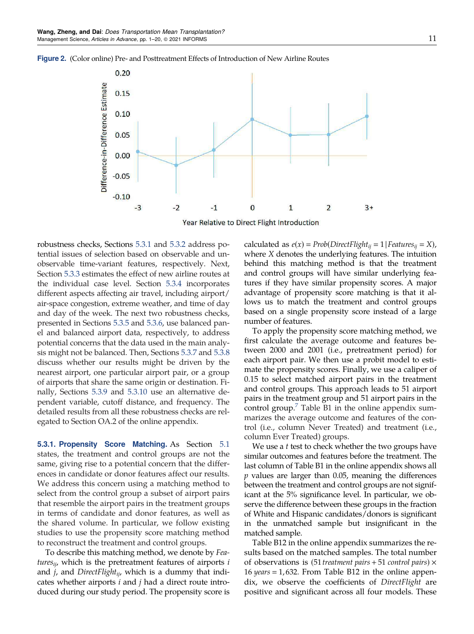<span id="page-10-0"></span>



Year Relative to Direct Flight Introduction

robustness checks, Sections 5.3.1 and [5.3.2](#page-11-0) address potential issues of selection based on observable and unobservable time-variant features, respectively. Next, Section [5.3.3](#page-11-0) estimates the effect of new airline routes at the individual case level. Section [5.3.4](#page-11-0) incorporates different aspects affecting air travel, including airport/ air-space congestion, extreme weather, and time of day and day of the week. The next two robustness checks, presented in Sections [5.3.5](#page-12-0) and [5.3.6](#page-12-0), use balanced panel and balanced airport data, respectively, to address potential concerns that the data used in the main analysis might not be balanced. Then, Sections [5.3.7](#page-12-0) and [5.3.8](#page-13-0) discuss whether our results might be driven by the nearest airport, one particular airport pair, or a group of airports that share the same origin or destination. Finally, Sections [5.3.9](#page-13-0) and [5.3.10](#page-13-0) use an alternative dependent variable, cutoff distance, and frequency. The detailed results from all these robustness checks are relegated to Section OA.2 of the online appendix.

5.3.1. Propensity Score Matching. As Section [5.1](#page-6-0) states, the treatment and control groups are not the same, giving rise to a potential concern that the differences in candidate or donor features affect our results. We address this concern using a matching method to select from the control group a subset of airport pairs that resemble the airport pairs in the treatment groups in terms of candidate and donor features, as well as the shared volume. In particular, we follow existing studies to use the propensity score matching method to reconstruct the treatment and control groups.

To describe this matching method, we denote by *Featuresij*, which is the pretreatment features of airports *i* and *j*, and *DirectFlightij*, which is a dummy that indicates whether airports *i* and *j* had a direct route introduced during our study period. The propensity score is calculated as  $e(x) = Prob(DirectFlight_{ij} = 1 | Features_{ij} = X)$ , where *X* denotes the underlying features. The intuition behind this matching method is that the treatment and control groups will have similar underlying features if they have similar propensity scores. A major advantage of propensity score matching is that it allows us to match the treatment and control groups based on a single propensity score instead of a large number of features.

To apply the propensity score matching method, we first calculate the average outcome and features between 2000 and 2001 (i.e., pretreatment period) for each airport pair. We then use a probit model to estimate the propensity scores. Finally, we use a caliper of 0.15 to select matched airport pairs in the treatment and control groups. This approach leads to 51 airport pairs in the treatment group and 51 airport pairs in the control group. $\frac{7}{7}$  $\frac{7}{7}$  $\frac{7}{7}$  Table B1 in the online appendix summarizes the average outcome and features of the control (i.e., column Never Treated) and treatment (i.e., column Ever Treated) groups.

We use a *t* test to check whether the two groups have similar outcomes and features before the treatment. The last column of Table B1 in the online appendix shows all *p* values are larger than 0.05, meaning the differences between the treatment and control groups are not significant at the 5% significance level. In particular, we observe the difference between these groups in the fraction of White and Hispanic candidates/donors is significant in the unmatched sample but insignificant in the matched sample.

Table B12 in the online appendix summarizes the results based on the matched samples. The total number of observations is (51 *treatment pairs* + 51 *control pairs*) × 16 *years* ! 1, 632. From Table B12 in the online appendix, we observe the coefficients of *DirectFlight* are positive and significant across all four models. These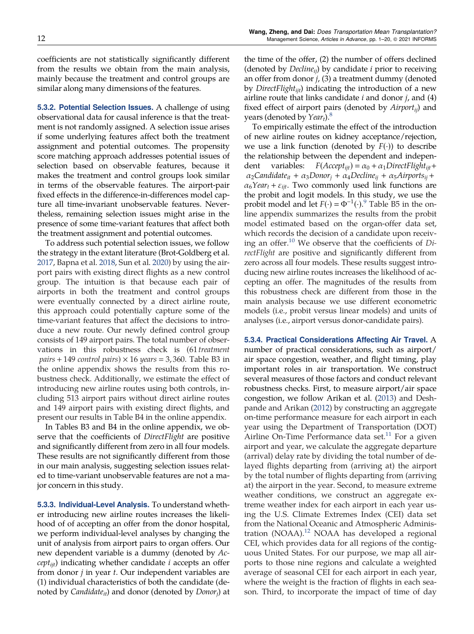<span id="page-11-0"></span>coefficients are not statistically significantly different from the results we obtain from the main analysis, mainly because the treatment and control groups are similar along many dimensions of the features.

**5.3.2. Potential Selection Issues.** A challenge of using observational data for causal inference is that the treatment is not randomly assigned. A selection issue arises if some underlying features affect both the treatment assignment and potential outcomes. The propensity score matching approach addresses potential issues of selection based on observable features, because it makes the treatment and control groups look similar in terms of the observable features. The airport-pair fixed effects in the difference-in-differences model capture all time-invariant unobservable features. Nevertheless, remaining selection issues might arise in the presence of some time-variant features that affect both the treatment assignment and potential outcomes.

To address such potential selection issues, we follow the strategy in the extant literature (Brot-Goldberg et al. [2017,](#page-18-0) Bapna et al. [2018,](#page-18-0) Sun et al. [2020\)](#page-19-0) by using the airport pairs with existing direct flights as a new control group. The intuition is that because each pair of airports in both the treatment and control groups were eventually connected by a direct airline route, this approach could potentially capture some of the time-variant features that affect the decisions to introduce a new route. Our newly defined control group consists of 149 airport pairs. The total number of observations in this robustness check is (61 *treatment*  $pairs + 149$  *control pairs*)  $\times$  16 *years* = 3,360. Table B3 in the online appendix shows the results from this robustness check. Additionally, we estimate the effect of introducing new airline routes using both controls, including 513 airport pairs without direct airline routes and 149 airport pairs with existing direct flights, and present our results in Table B4 in the online appendix.

In Tables B3 and B4 in the online appendix, we observe that the coefficients of *DirectFlight* are positive and significantly different from zero in all four models. These results are not significantly different from those in our main analysis, suggesting selection issues related to time-variant unobservable features are not a major concern in this study.

5.3.3. Individual-Level Analysis. To understand whether introducing new airline routes increases the likelihood of of accepting an offer from the donor hospital, we perform individual-level analyses by changing the unit of analysis from airport pairs to organ offers. Our new dependent variable is a dummy (denoted by *Acceptijt*) indicating whether candidate *i* accepts an offer from donor *j* in year *t*. Our independent variables are (1) individual characteristics of both the candidate (denoted by *Candidateit*) and donor (denoted by *Donor<sup>j</sup>* ) at

the time of the offer, (2) the number of offers declined (denoted by *Declineij*) by candidate *i* prior to receiving an offer from donor *j*, (3) a treatment dummy (denoted by *DirectFlightijt*) indicating the introduction of a new airline route that links candidate *i* and donor *j*, and (4) fixed effect of airport pairs (denoted by *Airportij*) and years (denoted by *Year<sup>t</sup>* ).[8](#page-17-0)

To empirically estimate the effect of the introduction of new airline routes on kidney acceptance/rejection, we use a link function (denoted by  $F(\cdot)$ ) to describe the relationship between the dependent and independent variables:  $F(Accept<sub>ijt</sub>) = \alpha_0 + \alpha_1 DirectFlight<sub>ijt</sub> +$  $\alpha_2$ Candidate<sub>it</sub> +  $\alpha_3$ Donor<sub>*j*</sub> +  $\alpha_4$ Decline<sub>ij</sub> +  $\alpha_5$ Airports<sub>ij</sub> +  $\alpha_6$ *Year*<sub>t</sub> +  $\varepsilon_{ii\text{t}}$ . Two commonly used link functions are the probit and logit models. In this study, we use the probit model and let  $F(\cdot) = \Phi^{-1}(\cdot)$ .<sup>[9](#page-17-0)</sup> Table B5 in the online appendix summarizes the results from the probit model estimated based on the organ-offer data set, which records the decision of a candidate upon receiving an offer.[10](#page-17-0) We observe that the coefficients of *DirectFlight* are positive and significantly different from zero across all four models. These results suggest introducing new airline routes increases the likelihood of accepting an offer. The magnitudes of the results from this robustness check are different from those in the main analysis because we use different econometric models (i.e., probit versus linear models) and units of analyses (i.e., airport versus donor-candidate pairs).

5.3.4. Practical Considerations Affecting Air Travel. A number of practical considerations, such as airport/ air space congestion, weather, and flight timing, play important roles in air transportation. We construct several measures of those factors and conduct relevant robustness checks. First, to measure airport/air space congestion, we follow Arikan et al. [\(2013\)](#page-18-0) and Deshpande and Arikan [\(2012\)](#page-18-0) by constructing an aggregate on-time performance measure for each airport in each year using the Department of Transportation (DOT) Airline On-Time Performance data set.<sup>[11](#page-17-0)</sup> For a given airport and year, we calculate the aggregate departure (arrival) delay rate by dividing the total number of delayed flights departing from (arriving at) the airport by the total number of flights departing from (arriving at) the airport in the year. Second, to measure extreme weather conditions, we construct an aggregate extreme weather index for each airport in each year using the U.S. Climate Extremes Index (CEI) data set from the National Oceanic and Atmospheric Adminis-tration (NOAA).<sup>[12](#page-17-0)</sup> NOAA has developed a regional CEI, which provides data for all regions of the contiguous United States. For our purpose, we map all airports to those nine regions and calculate a weighted average of seasonal CEI for each airport in each year, where the weight is the fraction of flights in each season. Third, to incorporate the impact of time of day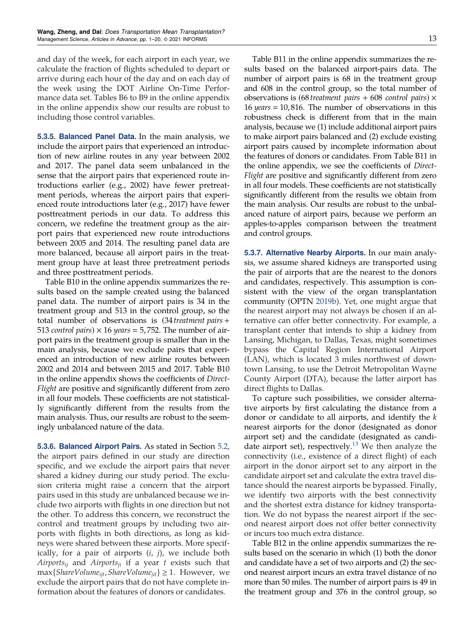<span id="page-12-0"></span>and day of the week, for each airport in each year, we calculate the fraction of flights scheduled to depart or arrive during each hour of the day and on each day of the week using the DOT Airline On-Time Performance data set. Tables B6 to B9 in the online appendix in the online appendix show our results are robust to including those control variables.

5.3.5. Balanced Panel Data. In the main analysis, we include the airport pairs that experienced an introduction of new airline routes in any year between 2002 and 2017. The panel data seem unbalanced in the sense that the airport pairs that experienced route introductions earlier (e.g., 2002) have fewer pretreatment periods, whereas the airport pairs that experienced route introductions later (e.g., 2017) have fewer posttreatment periods in our data. To address this concern, we redefine the treatment group as the airport pairs that experienced new route introductions between 2005 and 2014. The resulting panel data are more balanced, because all airport pairs in the treatment group have at least three pretreatment periods and three posttreatment periods.

Table B10 in the online appendix summarizes the results based on the sample created using the balanced panel data. The number of airport pairs is 34 in the treatment group and 513 in the control group, so the total number of observations is (34 *treatment pairs* + 513 *control pairs*)  $\times$  16 *years* = 5,752. The number of airport pairs in the treatment group is smaller than in the main analysis, because we exclude pairs that experienced an introduction of new airline routes between 2002 and 2014 and between 2015 and 2017. Table B10 in the online appendix shows the coefficients of *Direct-Flight* are positive and significantly different from zero in all four models. These coefficients are not statistically significantly different from the results from the main analysis. Thus, our results are robust to the seemingly unbalanced nature of the data.

5.3.6. Balanced Airport Pairs. As stated in Section [5.2](#page-7-0), the airport pairs defined in our study are direction specific, and we exclude the airport pairs that never shared a kidney during our study period. The exclusion criteria might raise a concern that the airport pairs used in this study are unbalanced because we include two airports with flights in one direction but not the other. To address this concern, we reconstruct the control and treatment groups by including two airports with flights in both directions, as long as kidneys were shared between these airports. More specifically, for a pair of airports (*i*, *j*), we include both *Airportsij* and *Airportsji* if a year *t* exists such that max{*ShareVolumeijt*,*ShareVolumejit*} ≥ 1. However, we exclude the airport pairs that do not have complete information about the features of donors or candidates.

Table B11 in the online appendix summarizes the results based on the balanced airport-pairs data. The number of airport pairs is 68 in the treatment group and 608 in the control group, so the total number of observations is (68 *treatment pairs* + 608 *control pairs*) × 16 *years* = 10,816. The number of observations in this robustness check is different from that in the main analysis, because we (1) include additional airport pairs to make airport pairs balanced and (2) exclude existing airport pairs caused by incomplete information about the features of donors or candidates. From Table B11 in the online appendix, we see the coefficients of *Direct-Flight* are positive and significantly different from zero in all four models. These coefficients are not statistically significantly different from the results we obtain from the main analysis. Our results are robust to the unbalanced nature of airport pairs, because we perform an apples-to-apples comparison between the treatment and control groups.

5.3.7. Alternative Nearby Airports. In our main analysis, we assume shared kidneys are transported using the pair of airports that are the nearest to the donors and candidates, respectively. This assumption is consistent with the view of the organ transplantation community (OPTN [2019b](#page-19-0)). Yet, one might argue that the nearest airport may not always be chosen if an alternative can offer better connectivity. For example, a transplant center that intends to ship a kidney from Lansing, Michigan, to Dallas, Texas, might sometimes bypass the Capital Region International Airport (LAN), which is located 3 miles northwest of downtown Lansing, to use the Detroit Metropolitan Wayne County Airport (DTA), because the latter airport has direct flights to Dallas.

To capture such possibilities, we consider alternative airports by first calculating the distance from a donor or candidate to all airports, and identify the *k* nearest airports for the donor (designated as donor airport set) and the candidate (designated as candi-date airport set), respectively.<sup>[13](#page-17-0)</sup> We then analyze the connectivity (i.e., existence of a direct flight) of each airport in the donor airport set to any airport in the candidate airport set and calculate the extra travel distance should the nearest airports be bypassed. Finally, we identify two airports with the best connectivity and the shortest extra distance for kidney transportation. We do not bypass the nearest airport if the second nearest airport does not offer better connectivity or incurs too much extra distance.

Table B12 in the online appendix summarizes the results based on the scenario in which (1) both the donor and candidate have a set of two airports and (2) the second nearest airport incurs an extra travel distance of no more than 50 miles. The number of airport pairs is 49 in the treatment group and 376 in the control group, so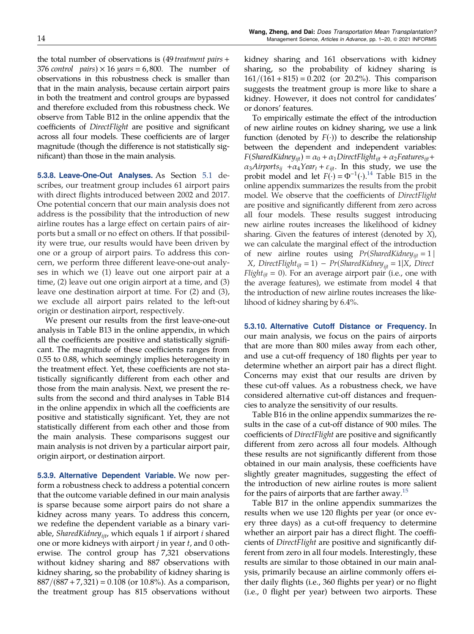<span id="page-13-0"></span>the total number of observations is (49 *treatment pairs* + 376 *control pairs*)  $\times$  16 *years* = 6,800. The number of observations in this robustness check is smaller than that in the main analysis, because certain airport pairs in both the treatment and control groups are bypassed and therefore excluded from this robustness check. We observe from Table B12 in the online appendix that the coefficients of *DirectFlight* are positive and significant across all four models. These coefficients are of larger magnitude (though the difference is not statistically significant) than those in the main analysis.

5.3.8. Leave-One-Out Analyses. As Section [5.1](#page-6-0) describes, our treatment group includes 61 airport pairs with direct flights introduced between 2002 and 2017. One potential concern that our main analysis does not address is the possibility that the introduction of new airline routes has a large effect on certain pairs of airports but a small or no effect on others. If that possibility were true, our results would have been driven by one or a group of airport pairs. To address this concern, we perform three different leave-one-out analyses in which we (1) leave out one airport pair at a time, (2) leave out one origin airport at a time, and (3) leave one destination airport at time. For (2) and (3), we exclude all airport pairs related to the left-out origin or destination airport, respectively.

We present our results from the first leave-one-out analysis in Table B13 in the online appendix, in which all the coefficients are positive and statistically significant. The magnitude of these coefficients ranges from 0.55 to 0.88, which seemingly implies heterogeneity in the treatment effect. Yet, these coefficients are not statistically significantly different from each other and those from the main analysis. Next, we present the results from the second and third analyses in Table B14 in the online appendix in which all the coefficients are positive and statistically significant. Yet, they are not statistically different from each other and those from the main analysis. These comparisons suggest our main analysis is not driven by a particular airport pair, origin airport, or destination airport.

5.3.9. Alternative Dependent Variable. We now perform a robustness check to address a potential concern that the outcome variable defined in our main analysis is sparse because some airport pairs do not share a kidney across many years. To address this concern, we redefine the dependent variable as a binary variable, *SharedKidneyijt*, which equals 1 if airport *i* shared one or more kidneys with airport *j* in year *t*, and 0 otherwise. The control group has 7,321 observations without kidney sharing and 887 observations with kidney sharing, so the probability of kidney sharing is  $887/(887 + 7,321) = 0.108$  (or 10.8%). As a comparison, the treatment group has 815 observations without kidney sharing and 161 observations with kidney sharing, so the probability of kidney sharing is  $161/(161 + 815) = 0.202$  (or 20.2%). This comparison suggests the treatment group is more like to share a kidney. However, it does not control for candidates' or donors' features.

To empirically estimate the effect of the introduction of new airline routes on kidney sharing, we use a link function (denoted by  $F(\cdot)$ ) to describe the relationship between the dependent and independent variables:  $F(SharedKidney_{ijt}) = \alpha_0 + \alpha_1 DirectFlight_{ijt} + \alpha_2 Features_{ijt} +$  $\alpha_3$ *Airports*<sub>*ij*</sub> + $\alpha_4$ *Year*<sub>*t*</sub> +  $\varepsilon$ <sub>*ijt*</sub>. In this study, we use the probit model and let  $F(\cdot) = \Phi^{-1}(\cdot)$ .<sup>[14](#page-17-0)</sup> Table B15 in the online appendix summarizes the results from the probit model. We observe that the coefficients of *DirectFlight* are positive and significantly different from zero across all four models. These results suggest introducing new airline routes increases the likelihood of kidney sharing. Given the features of interest (denoted by *X*), we can calculate the marginal effect of the introduction of new airline routes using  $Pr(SharedKidney_{ijt} = 1 |$ *X*, *DirectFlight*<sub>*ijt*</sub> = 1) − *Pr*(*SharedKidney*<sub>*ijt*</sub> = 1|*X*, *Direct Flight<sub>ijt</sub>* = 0). For an average airport pair (i.e., one with the average features), we estimate from model 4 that the introduction of new airline routes increases the likelihood of kidney sharing by 6.4%.

5.3.10. Alternative Cutoff Distance or Frequency. In our main analysis, we focus on the pairs of airports that are more than 800 miles away from each other, and use a cut-off frequency of 180 flights per year to determine whether an airport pair has a direct flight. Concerns may exist that our results are driven by these cut-off values. As a robustness check, we have considered alternative cut-off distances and frequencies to analyze the sensitivity of our results.

Table B16 in the online appendix summarizes the results in the case of a cut-off distance of 900 miles. The coefficients of *DirectFlight* are positive and significantly different from zero across all four models. Although these results are not significantly different from those obtained in our main analysis, these coefficients have slightly greater magnitudes, suggesting the effect of the introduction of new airline routes is more salient for the pairs of airports that are farther away.<sup>[15](#page-17-0)</sup>

Table B17 in the online appendix summarizes the results when we use 120 flights per year (or once every three days) as a cut-off frequency to determine whether an airport pair has a direct flight. The coefficients of *DirectFlight* are positive and significantly different from zero in all four models. Interestingly, these results are similar to those obtained in our main analysis, primarily because an airline commonly offers either daily flights (i.e., 360 flights per year) or no flight (i.e., 0 flight per year) between two airports. These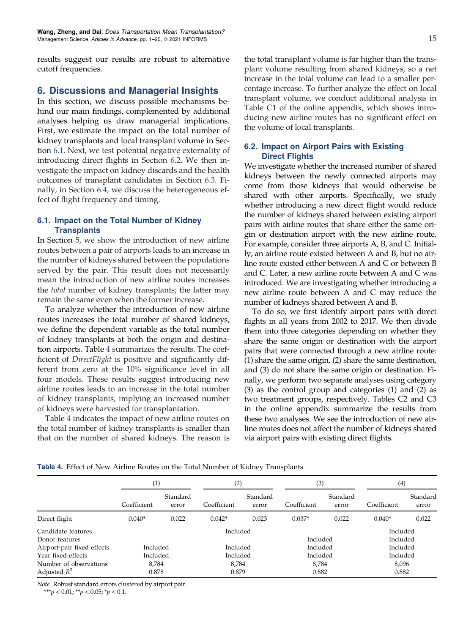results suggest our results are robust to alternative cutoff frequencies.

# 6. Discussions and Managerial Insights

In this section, we discuss possible mechanisms behind our main findings, complemented by additional analyses helping us draw managerial implications. First, we estimate the impact on the total number of kidney transplants and local transplant volume in Section 6.1. Next, we test potential negative externality of introducing direct flights in Section 6.2. We then investigate the impact on kidney discards and the health outcomes of transplant candidates in Section [6.3](#page-15-0). Finally, in Section [6.4,](#page-15-0) we discuss the heterogeneous effect of flight frequency and timing.

# 6.1. Impact on the Total Number of Kidney **Transplants**

In Section [5,](#page-6-0) we show the introduction of new airline routes between a pair of airports leads to an increase in the number of kidneys shared between the populations served by the pair. This result does not necessarily mean the introduction of new airline routes increases the *total* number of kidney transplants; the latter may remain the same even when the former increase.

To analyze whether the introduction of new airline routes increases the total number of shared kidneys, we define the dependent variable as the total number of kidney transplants at both the origin and destination airports. Table 4 summarizes the results. The coefficient of *DirectFlight* is positive and significantly different from zero at the 10% significance level in all four models. These results suggest introducing new airline routes leads to an increase in the total number of kidney transplants, implying an increased number of kidneys were harvested for transplantation.

Table 4 indicates the impact of new airline routes on the total number of kidney transplants is smaller than that on the number of shared kidneys. The reason is

the total transplant volume is far higher than the transplant volume resulting from shared kidneys, so a net increase in the total volume can lead to a smaller percentage increase. To further analyze the effect on local transplant volume, we conduct additional analysis in Table C1 of the online appendix, which shows introducing new airline routes has no significant effect on the volume of local transplants.

# 6.2. Impact on Airport Pairs with Existing Direct Flights

We investigate whether the increased number of shared kidneys between the newly connected airports may come from those kidneys that would otherwise be shared with other airports. Specifically, we study whether introducing a new direct flight would reduce the number of kidneys shared between existing airport pairs with airline routes that share either the same origin or destination airport with the new airline route. For example, consider three airports A, B, and C. Initially, an airline route existed between A and B, but no airline route existed either between A and C or between B and C. Later, a new airline route between A and C was introduced. We are investigating whether introducing a new airline route between A and C may reduce the number of kidneys shared between A and B.

To do so, we first identify airport pairs with direct flights in all years from 2002 to 2017. We then divide them into three categories depending on whether they share the same origin or destination with the airport pairs that were connected through a new airline route: (1) share the same origin, (2) share the same destination, and (3) do not share the same origin or destination. Finally, we perform two separate analyses using category (3) as the control group and categories (1) and (2) as two treatment groups, respectively. Tables C2 and C3 in the online appendix summarize the results from these two analyses. We see the introduction of new airline routes does not affect the number of kidneys shared via airport pairs with existing direct flights.

|                                                                    | (1)                        |                   | (2)                        |                   | (3)                        |                   | (4)                              |                   |
|--------------------------------------------------------------------|----------------------------|-------------------|----------------------------|-------------------|----------------------------|-------------------|----------------------------------|-------------------|
|                                                                    | Coefficient                | Standard<br>error | Coefficient                | Standard<br>error | Coefficient                | Standard<br>error | Coefficient                      | Standard<br>error |
| Direct flight                                                      | $0.040*$                   | 0.022             | $0.042*$                   | 0.023             | $0.037*$                   | 0.022             | $0.040*$                         | 0.022             |
| Candidate features<br>Donor features<br>Airport-pair fixed effects | Included                   |                   | Included<br>Included       |                   | Included<br>Included       |                   | Included<br>Included<br>Included |                   |
| Year fixed effects<br>Number of observations<br>Adjusted $R^2$     | Included<br>8,784<br>0.878 |                   | Included<br>8,784<br>0.879 |                   | Included<br>8,784<br>0.882 |                   | Included<br>8,096<br>0.882       |                   |

Table 4. Effect of New Airline Routes on the Total Number of Kidney Transplants

*Note.* Robust standard errors clustered by airport pair.

\*\*\**p* < 0.01; \*\**p* < 0.05; \**p* < 0.1.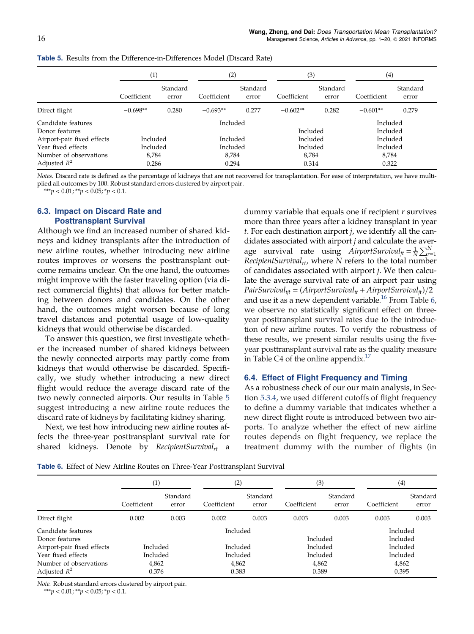|                                      | $\scriptstyle{(1)}$ |                   | (2)         | (3)               |             |                   | (4)         |                      |
|--------------------------------------|---------------------|-------------------|-------------|-------------------|-------------|-------------------|-------------|----------------------|
|                                      | Coefficient         | Standard<br>error | Coefficient | Standard<br>error | Coefficient | Standard<br>error | Coefficient | Standard<br>error    |
| Direct flight                        | $-0.698**$          | 0.280             | $-0.693**$  | 0.277             | $-0.602**$  | 0.282             | $-0.601**$  | 0.279                |
| Candidate features<br>Donor features |                     |                   |             | Included          |             | Included          |             | Included<br>Included |
| Airport-pair fixed effects           | Included            |                   | Included    |                   | Included    |                   | Included    |                      |
| Year fixed effects                   | Included            |                   | Included    |                   | Included    |                   | Included    |                      |
| Number of observations               | 8,784               |                   | 8,784       |                   | 8,784       |                   | 8,784       |                      |
| Adjusted $R^2$                       | 0.286               |                   |             | 0.294             |             | 0.314             |             | 0.322                |

<span id="page-15-0"></span>Table 5. Results from the Difference-in-Differences Model (Discard Rate)

*Notes.* Discard rate is defined as the percentage of kidneys that are not recovered for transplantation. For ease of interpretation, we have multiplied all outcomes by 100. Robust standard errors clustered by airport pair.

\*\*\**p* < 0.01; \*\**p* < 0.05; \**p* < 0.1.

# 6.3. Impact on Discard Rate and Posttransplant Survival

Although we find an increased number of shared kidneys and kidney transplants after the introduction of new airline routes, whether introducing new airline routes improves or worsens the posttransplant outcome remains unclear. On the one hand, the outcomes might improve with the faster traveling option (via direct commercial flights) that allows for better matching between donors and candidates. On the other hand, the outcomes might worsen because of long travel distances and potential usage of low-quality kidneys that would otherwise be discarded.

To answer this question, we first investigate whether the increased number of shared kidneys between the newly connected airports may partly come from kidneys that would otherwise be discarded. Specifically, we study whether introducing a new direct flight would reduce the average discard rate of the two newly connected airports. Our results in Table 5 suggest introducing a new airline route reduces the discard rate of kidneys by facilitating kidney sharing.

Next, we test how introducing new airline routes affects the three-year posttransplant survival rate for shared kidneys. Denote by *RecipientSurvivalrt* a dummy variable that equals one if recipient *r* survives more than three years after a kidney transplant in year *t*. For each destination airport *j*, we identify all the candidates associated with airport *j* and calculate the average survival rate using *AirportSurvival<sub>jt</sub>* =  $\frac{1}{N} \sum_{r=1}^{N}$ *RecipientSurvivalrt*, where *N* refers to the total number of candidates associated with airport *j*. We then calculate the average survival rate of an airport pair using *PairSurvival*<sub>*ijt*</sub> = (*AirportSurvival*<sub>*it*</sub> + *AirportSurvival*<sub>*jt*</sub>)/2 and use it as a new dependent variable.<sup>[16](#page-17-0)</sup> From Table  $6$ , we observe no statistically significant effect on threeyear posttransplant survival rates due to the introduction of new airline routes. To verify the robustness of these results, we present similar results using the fiveyear posttransplant survival rate as the quality measure in Table C4 of the online appendix. $^{17}$  $^{17}$  $^{17}$ 

### 6.4. Effect of Flight Frequency and Timing

As a robustness check of our our main analysis, in Section [5.3.4](#page-11-0), we used different cutoffs of flight frequency to define a dummy variable that indicates whether a new direct flight route is introduced between two airports. To analyze whether the effect of new airline routes depends on flight frequency, we replace the treatment dummy with the number of flights (in

| <b>Table 6.</b> Effect of New Airline Routes on Three-Year Posttransplant Survival |  |
|------------------------------------------------------------------------------------|--|
|------------------------------------------------------------------------------------|--|

|                                          | $\left(1\right)$ |                   | (2)            |                   | (3)            |                      | (4)            |                   |
|------------------------------------------|------------------|-------------------|----------------|-------------------|----------------|----------------------|----------------|-------------------|
|                                          | Coefficient      | Standard<br>error | Coefficient    | Standard<br>error | Coefficient    | Standard<br>error    | Coefficient    | Standard<br>error |
| Direct flight                            | 0.002            | 0.003             | 0.002          | 0.003             | 0.003          | 0.003                | 0.003          | 0.003             |
| Candidate features<br>Donor features     | Included         |                   |                | Included          |                | Included<br>Included |                |                   |
| Airport-pair fixed effects               | Included         |                   | Included       |                   | Included       |                      | Included       |                   |
| Year fixed effects                       | Included         |                   | Included       |                   | Included       |                      | Included       |                   |
| Number of observations<br>Adjusted $R^2$ | 4,862<br>0.376   |                   | 4,862<br>0.383 |                   | 4,862<br>0.389 |                      | 4,862<br>0.395 |                   |

*Note.* Robust standard errors clustered by airport pair.

\*\*\**p* < 0.01; \*\**p* < 0.05; \**p* < 0.1.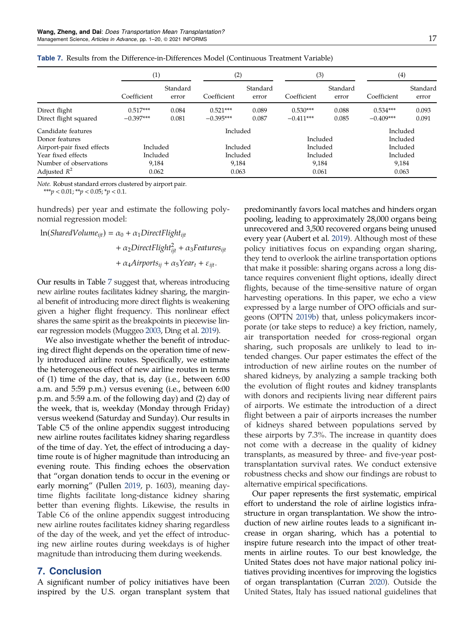|                            | $\left(1\right)$ |                   | (2)         |                   | (3)         |                   | (4)         |                   |
|----------------------------|------------------|-------------------|-------------|-------------------|-------------|-------------------|-------------|-------------------|
|                            | Coefficient      | Standard<br>error | Coefficient | Standard<br>error | Coefficient | Standard<br>error | Coefficient | Standard<br>error |
| Direct flight              | $0.517***$       | 0.084             | $0.521***$  | 0.089             | $0.530***$  | 0.088             | $0.534***$  | 0.093             |
| Direct flight squared      | $-0.397***$      | 0.081             | $-0.395***$ | 0.087             | $-0.411***$ | 0.085             | $-0.409***$ | 0.091             |
| Candidate features         |                  |                   | Included    |                   |             |                   | Included    |                   |
| Donor features             |                  |                   |             |                   | Included    |                   | Included    |                   |
| Airport-pair fixed effects | Included         |                   | Included    |                   | Included    |                   | Included    |                   |
| Year fixed effects         | Included         |                   | Included    |                   | Included    |                   | Included    |                   |
| Number of observations     | 9,184            |                   | 9,184       |                   | 9,184       |                   | 9,184       |                   |
| Adjusted $R^2$             | 0.062            |                   | 0.063       |                   | 0.061       |                   | 0.063       |                   |

Table 7. Results from the Difference-in-Differences Model (Continuous Treatment Variable)

*Note.* Robust standard errors clustered by airport pair.

\*\*\**p* <  $0.01$ ; \*\**p* <  $0.05$ ; \**p* <  $0.1$ .

hundreds) per year and estimate the following polynomial regression model:

$$
\begin{aligned} \text{ln}(SharedVolume_{ijt}) &= \alpha_0 + \alpha_1 DirectFlight_{ijt} \\ &+ \alpha_2 DirectFlight_{ijt}^2 + \alpha_3 Features_{ijt} \\ &+ \alpha_4Airports_{ij} + \alpha_5Year_t + \varepsilon_{ijt}. \end{aligned}
$$

Our results in Table 7 suggest that, whereas introducing new airline routes facilitates kidney sharing, the marginal benefit of introducing more direct flights is weakening given a higher flight frequency. This nonlinear effect shares the same spirit as the breakpoints in piecewise linear regression models (Muggeo [2003](#page-19-0), Ding et al. [2019\)](#page-18-0).

We also investigate whether the benefit of introducing direct flight depends on the operation time of newly introduced airline routes. Specifically, we estimate the heterogeneous effect of new airline routes in terms of (1) time of the day, that is, day (i.e., between 6:00 a.m. and 5:59 p.m.) versus evening (i.e., between 6:00 p.m. and 5:59 a.m. of the following day) and (2) day of the week, that is, weekday (Monday through Friday) versus weekend (Saturday and Sunday). Our results in Table C5 of the online appendix suggest introducing new airline routes facilitates kidney sharing regardless of the time of day. Yet, the effect of introducing a daytime route is of higher magnitude than introducing an evening route. This finding echoes the observation that "organ donation tends to occur in the evening or early morning" (Pullen [2019](#page-19-0), p. 1603), meaning daytime flights facilitate long-distance kidney sharing better than evening flights. Likewise, the results in Table C6 of the online appendix suggest introducing new airline routes facilitates kidney sharing regardless of the day of the week, and yet the effect of introducing new airline routes during weekdays is of higher magnitude than introducing them during weekends.

# 7. Conclusion

A significant number of policy initiatives have been inspired by the U.S. organ transplant system that predominantly favors local matches and hinders organ pooling, leading to approximately 28,000 organs being unrecovered and 3,500 recovered organs being unused every year (Aubert et al. [2019\)](#page-18-0). Although most of these policy initiatives focus on expanding organ sharing, they tend to overlook the airline transportation options that make it possible: sharing organs across a long distance requires convenient flight options, ideally direct flights, because of the time-sensitive nature of organ harvesting operations. In this paper, we echo a view expressed by a large number of OPO officials and surgeons (OPTN [2019b](#page-19-0)) that, unless policymakers incorporate (or take steps to reduce) a key friction, namely, air transportation needed for cross-regional organ sharing, such proposals are unlikely to lead to intended changes. Our paper estimates the effect of the introduction of new airline routes on the number of shared kidneys, by analyzing a sample tracking both the evolution of flight routes and kidney transplants with donors and recipients living near different pairs of airports. We estimate the introduction of a direct flight between a pair of airports increases the number of kidneys shared between populations served by these airports by 7.3%. The increase in quantity does not come with a decrease in the quality of kidney transplants, as measured by three- and five-year posttransplantation survival rates. We conduct extensive robustness checks and show our findings are robust to alternative empirical specifications.

Our paper represents the first systematic, empirical effort to understand the role of airline logistics infrastructure in organ transplantation. We show the introduction of new airline routes leads to a significant increase in organ sharing, which has a potential to inspire future research into the impact of other treatments in airline routes. To our best knowledge, the United States does not have major national policy initiatives providing incentives for improving the logistics of organ transplantation (Curran [2020](#page-18-0)). Outside the United States, Italy has issued national guidelines that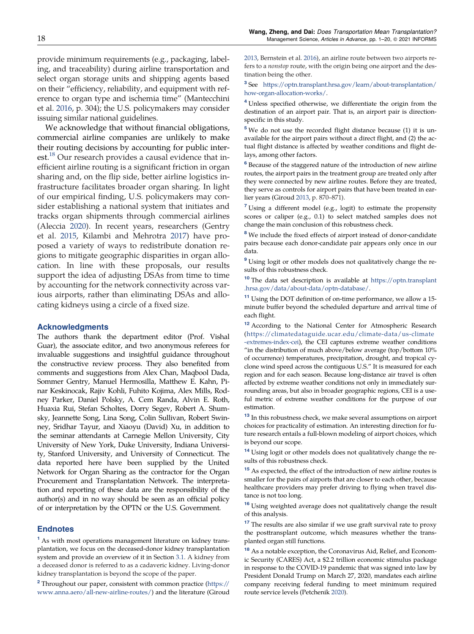<span id="page-17-0"></span>provide minimum requirements (e.g., packaging, labeling, and traceability) during airline transportation and select organ storage units and shipping agents based on their "efficiency, reliability, and equipment with reference to organ type and ischemia time" (Mantecchini et al. [2016,](#page-19-0) p. 304); the U.S. policymakers may consider issuing similar national guidelines.

We acknowledge that without financial obligations, commercial airline companies are unlikely to make their routing decisions by accounting for public interest.<sup>18</sup> Our research provides a causal evidence that inefficient airline routing is a significant friction in organ sharing and, on the flip side, better airline logistics infrastructure facilitates broader organ sharing. In light of our empirical finding, U.S. policymakers may consider establishing a national system that initiates and tracks organ shipments through commercial airlines (Aleccia [2020](#page-18-0)). In recent years, researchers (Gentry et al. [2015](#page-18-0), Kilambi and Mehrotra [2017](#page-18-0)) have proposed a variety of ways to redistribute donation regions to mitigate geographic disparities in organ allocation. In line with these proposals, our results support the idea of adjusting DSAs from time to time by accounting for the network connectivity across various airports, rather than eliminating DSAs and allocating kidneys using a circle of a fixed size.

#### Acknowledgments

The authors thank the department editor (Prof. Vishal Guar), the associate editor, and two anonymous referees for invaluable suggestions and insightful guidance throughout the constructive review process. They also benefited from comments and suggestions from Alex Chan, Maqbool Dada, Sommer Gentry, Manuel Hermosilla, Matthew E. Kahn, Pinar Keskinocak, Rajiv Kohli, Fuhito Kojima, Alex Mills, Rodney Parker, Daniel Polsky, A. Cem Randa, Alvin E. Roth, Huaxia Rui, Stefan Scholtes, Dorry Segev, Robert A. Shumsky, Jeannette Song, Lina Song, Colin Sullivan, Robert Swinney, Sridhar Tayur, and Xiaoyu (David) Xu, in addition to the seminar attendants at Carnegie Mellon University, City University of New York, Duke University, Indiana University, Stanford University, and University of Connecticut. The data reported here have been supplied by the United Network for Organ Sharing as the contractor for the Organ Procurement and Transplantation Network. The interpretation and reporting of these data are the responsibility of the author(s) and in no way should be seen as an official policy of or interpretation by the OPTN or the U.S. Government.

#### **Endnotes**

<sup>1</sup> As with most operations management literature on kidney transplantation, we focus on the deceased-donor kidney transplantation system and provide an overview of it in Section [3.1](#page-3-0). A kidney from a deceased donor is referred to as a cadaveric kidney. Living-donor kidney transplantation is beyond the scope of the paper.

<sup>2</sup> Throughout our paper, consistent with common practice [\(https://](https://www.anna.aero/all-new-airline-routes/) [www.anna.aero/all-new-airline-routes/](https://www.anna.aero/all-new-airline-routes/)) and the literature (Giroud [2013](#page-18-0), Bernstein et al. [2016\)](#page-18-0), an airline route between two airports refers to a *nonstop* route, with the origin being one airport and the destination being the other.

3 See [https://optn.transplant.hrsa.gov/learn/about-transplantation/](https://optn.transplant.hrsa.gov/learn/about-transplantation/how-organ-allocation-works/) [how-organ-allocation-works/.](https://optn.transplant.hrsa.gov/learn/about-transplantation/how-organ-allocation-works/)

<sup>4</sup> Unless specified otherwise, we differentiate the origin from the destination of an airport pair. That is, an airport pair is directionspecific in this study.

<sup>5</sup> We do not use the recorded flight distance because (1) it is unavailable for the airport pairs without a direct flight, and (2) the actual flight distance is affected by weather conditions and flight delays, among other factors.

6 Because of the staggered nature of the introduction of new airline routes, the airport pairs in the treatment group are treated only after they were connected by new airline routes. Before they are treated, they serve as controls for airport pairs that have been treated in earlier years (Giroud [2013](#page-18-0), p. 870–871).

 $7$  Using a different model (e.g., logit) to estimate the propensity scores or caliper (e.g., 0.1) to select matched samples does not change the main conclusion of this robustness check.

<sup>8</sup> We include the fixed effects of airport instead of donor-candidate pairs because each donor-candidate pair appears only once in our data.

<sup>9</sup> Using logit or other models does not qualitatively change the results of this robustness check.

<sup>10</sup> The data set description is available at [https://optn.transplant](https://optn.transplant.hrsa.gov/data/about-data/optn-database/) [.hrsa.gov/data/about-data/optn-database/](https://optn.transplant.hrsa.gov/data/about-data/optn-database/).

<sup>11</sup> Using the DOT definition of on-time performance, we allow a 15minute buffer beyond the scheduled departure and arrival time of each flight.

<sup>12</sup> According to the National Center for Atmospheric Research [\(https://climatedataguide.ucar.edu/climate-data/us-climate](https://climatedataguide.ucar.edu/climate-data/us-climate-extremes-index-cei) [-extremes-index-cei\)](https://climatedataguide.ucar.edu/climate-data/us-climate-extremes-index-cei), the CEI captures extreme weather conditions "in the distribution of much above/below average (top/bottom 10% of occurrence) temperatures, precipitation, drought, and tropical cyclone wind speed across the contiguous U.S." It is measured for each region and for each season. Because long-distance air travel is often affected by extreme weather conditions not only in immediately surrounding areas, but also in broader geographic regions, CEI is a useful metric of extreme weather conditions for the purpose of our estimation.

<sup>13</sup> In this robustness check, we make several assumptions on airport choices for practicality of estimation. An interesting direction for future research entails a full-blown modeling of airport choices, which is beyond our scope.

<sup>14</sup> Using logit or other models does not qualitatively change the results of this robustness check.

<sup>15</sup> As expected, the effect of the introduction of new airline routes is smaller for the pairs of airports that are closer to each other, because healthcare providers may prefer driving to flying when travel distance is not too long.

<sup>16</sup> Using weighted average does not qualitatively change the result of this analysis.

 $^{17}$  The results are also similar if we use graft survival rate to proxy the posttransplant outcome, which measures whether the transplanted organ still functions.

<sup>18</sup> As a notable exception, the Coronavirus Aid, Relief, and Economic Security (CARES) Act, a \$2.2 trillion economic stimulus package in response to the COVID-19 pandemic that was signed into law by President Donald Trump on March 27, 2020, mandates each airline company receiving federal funding to meet minimum required route service levels (Petchenik [2020\)](#page-19-0).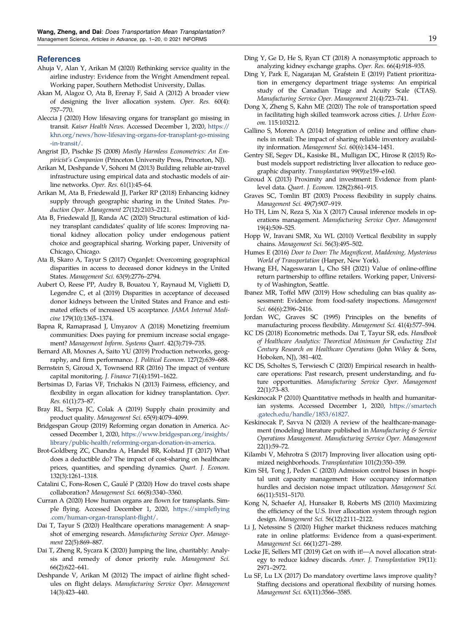#### <span id="page-18-0"></span>References

- Ahuja V, Alan Y, Arikan M (2020) Rethinking service quality in the airline industry: Evidence from the Wright Amendment repeal. Working paper, Southern Methodist University, Dallas.
- Akan M, Alagoz O, Ata B, Erenay F, Said A (2012) A broader view of designing the liver allocation system. *Oper. Res.* 60(4): 757–770.
- Aleccia J (2020) How lifesaving organs for transplant go missing in transit. *Kaiser Health News*. Accessed December 1, 2020, [https://](https://khn.org/news/how-lifesaving-organs-for-transplant-go-missing-in-transit/) [khn.org/news/how-lifesaving-organs-for-transplant-go-missing](https://khn.org/news/how-lifesaving-organs-for-transplant-go-missing-in-transit/) [-in-transit/](https://khn.org/news/how-lifesaving-organs-for-transplant-go-missing-in-transit/).
- Angrist JD, Pischke JS (2008) *Mostly Harmless Econometrics: An Empiricist*'*s Companion* (Princeton University Press, Princeton, NJ).
- Arikan M, Deshpande V, Sohoni M (2013) Building reliable air-travel infrastructure using empirical data and stochastic models of airline networks. *Oper. Res.* 61(1):45–64.
- Arikan M, Ata B, Friedewald JJ, Parker RP (2018) Enhancing kidney supply through geographic sharing in the United States. *Production Oper. Management* 27(12):2103–2121.
- Ata B, Friedewald JJ, Randa AC (2020) Structural estimation of kidney transplant candidates' quality of life scores: Improving national kidney allocation policy under endogenous patient choice and geographical sharing. Working paper, University of Chicago, Chicago.
- Ata B, Skaro A, Tayur S (2017) OrganJet: Overcoming geographical disparities in access to deceased donor kidneys in the United States. *Management Sci.* 63(9):2776–2794.
- Aubert O, Reese PP, Audry B, Bouatou Y, Raynaud M, Viglietti D, Legendre C, et al (2019) Disparities in acceptance of deceased donor kidneys between the United States and France and estimated effects of increased US acceptance. *JAMA Internal Medicine* 179(10):1365–1374.
- Bapna R, Ramaprasad J, Umyarov A (2018) Monetizing freemium communities: Does paying for premium increase social engagement? *Management Inform. Systems Quart.* 42(3):719–735.
- Bernard AB, Moxnes A, Saito YU (2019) Production networks, geography, and firm performance. *J. Political Econom.* 127(2):639–688.
- Bernstein S, Giroud X, Townsend RR (2016) The impact of venture capital monitoring. *J. Finance* 71(4):1591–1622.
- Bertsimas D, Farias VF, Trichakis N (2013) Fairness, efficiency, and flexibility in organ allocation for kidney transplantation. *Oper. Res.* 61(1):73–87.
- Bray RL, Serpa JC, Colak A (2019) Supply chain proximity and product quality. *Management Sci.* 65(9):4079–4099.
- Bridgespan Group (2019) Reforming organ donation in America. Accessed December 1, 2020, [https://www.bridgespan.org/insights/](https://www.bridgespan.org/insights/library/public-health/reforming-organ-donation-in-america) [library/public-health/reforming-organ-donation-in-america](https://www.bridgespan.org/insights/library/public-health/reforming-organ-donation-in-america).
- Brot-Goldberg ZC, Chandra A, Handel BR, Kolstad JT (2017) What does a deductible do? The impact of cost-sharing on healthcare prices, quantities, and spending dynamics. *Quart. J. Econom.* 132(3):1261–1318.
- Catalini C, Fons-Rosen C, Gaule P (2020) How do travel costs shape ´ collaboration? *Management Sci.* 66(8):3340–3360.
- Curran A (2020) How human organs are flown for transplants. Simple flying. Accessed December 1, 2020, [https://simple](https://simpleflying.com/human-organ-transplant-flight/)flying [.com/human-organ-transplant-](https://simpleflying.com/human-organ-transplant-flight/)flight/.
- Dai T, Tayur S (2020) Healthcare operations management: A snapshot of emerging research. *Manufacturing Service Oper. Management* 22(5):869–887.
- Dai T, Zheng R, Sycara K (2020) Jumping the line, charitably: Analysis and remedy of donor priority rule. *Management Sci.* 66(2):622–641.
- Deshpande V, Arikan M (2012) The impact of airline flight schedules on flight delays. *Manufacturing Service Oper. Management* 14(3):423–440.
- Ding Y, Ge D, He S, Ryan CT (2018) A nonasymptotic approach to analyzing kidney exchange graphs. *Oper. Res.* 66(4):918–935.
- Ding Y, Park E, Nagarajan M, Grafstein E (2019) Patient prioritization in emergency department triage systems: An empirical study of the Canadian Triage and Acuity Scale (CTAS). *Manufacturing Service Oper. Management* 21(4):723–741.
- Dong X, Zheng S, Kahn ME (2020) The role of transportation speed in facilitating high skilled teamwork across cities. *J. Urban Econom.* 115:103212.
- Gallino S, Moreno A (2014) Integration of online and offline channels in retail: The impact of sharing reliable inventory availability information. *Management Sci.* 60(6):1434–1451.
- Gentry SE, Segev DL, Kasiske BL, Mulligan DC, Hirose R (2015) Robust models support redistricting liver allocation to reduce geographic disparity. *Transplantation* 99(9):e159–e160.
- Giroud X (2013) Proximity and investment: Evidence from plantlevel data. *Quart. J. Econom.* 128(2):861–915.
- Graves SC, Tomlin BT (2003) Process flexibility in supply chains. *Management Sci.* 49(7):907–919.
- Ho TH, Lim N, Reza S, Xia X (2017) Causal inference models in operations management. *Manufacturing Service Oper. Management* 19(4):509–525.
- Hopp W, Iravani SMR, Xu WL (2010) Vertical flexibility in supply chains. *Management Sci.* 56(3):495–502.
- Humes E (2016) *Door to Door: The Magni*fi*cent, Maddening, Mysterious World of Transportation* (Harper, New York).
- Hwang EH, Nageswaran L, Cho SH (2021) Value of online-offline return partnership to offline retailers. Working paper, University of Washington, Seattle.
- Ibanez MR, Toffel MW (2019) How scheduling can bias quality assessment: Evidence from food-safety inspections. *Management Sci.* 66(6):2396–2416.
- Jordan WC, Graves SC (1995) Principles on the benefits of manufacturing process flexibility. *Management Sci.* 41(4):577–594.
- KC DS (2018) Econometric methods. Dai T, Tayur SR, eds. *Handbook of Healthcare Analytics: Theoretical Minimum for Conducting 21st Century Research on Healthcare Operations* (John Wiley & Sons, Hoboken, NJ), 381–402.
- KC DS, Scholtes S, Terwiesch C (2020) Empirical research in healthcare operations: Past research, present understanding, and future opportunities. *Manufacturing Service Oper. Management* 22(1):73–83.
- Keskinocak P (2010) Quantitative methods in health and humanitarian systems. Accessed December 1, 2020, [https://smartech](https://smartech.gatech.edu/handle/1853/61827) [.gatech.edu/handle/1853/61827](https://smartech.gatech.edu/handle/1853/61827).
- Keskinocak P, Savva N (2020) A review of the healthcare-management (modeling) literature published in *Manufacturing & Service Operations Management. Manufacturing Service Oper. Management* 22(1):59–72.
- Kilambi V, Mehrotra S (2017) Improving liver allocation using optimized neighborhoods. *Transplantation* 101(2):350–359.
- Kim SH, Tong J, Peden C (2020) Admission control biases in hospital unit capacity management: How occupancy information hurdles and decision noise impact utilization. *Management Sci.* 66(11):5151–5170.
- Kong N, Schaefer AJ, Hunsaker B, Roberts MS (2010) Maximizing the efficiency of the U.S. liver allocation system through region design. *Management Sci.* 56(12):2111–2122.
- Li J, Netessine S (2020) Higher market thickness reduces matching rate in online platforms: Evidence from a quasi-experiment. *Management Sci.* 66(1):271–289.
- Locke JE, Sellers MT (2019) Get on with it!—A novel allocation strategy to reduce kidney discards. *Amer. J. Transplantation* 19(11): 2971–2972.
- Lu SF, Lu LX (2017) Do mandatory overtime laws improve quality? Staffing decisions and operational flexibility of nursing homes. *Management Sci.* 63(11):3566–3585.